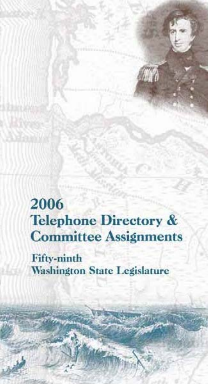2006 Telephone Directory & Committee Assignments

Fifty-ninth Washington State Legislature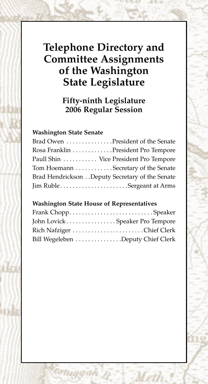# **Telephone Directory and Committee Assignments of the Washington State Legislature**

**Fifty-ninth Legislature 2006 Regular Session**

#### **Washington State Senate**

| Brad Owen President of the Senate              |  |
|------------------------------------------------|--|
| Rosa Franklin President Pro Tempore            |  |
| Paull Shin  Vice President Pro Tempore         |  |
| Tom Hoemann Secretary of the Senate            |  |
| Brad HendricksonDeputy Secretary of the Senate |  |
| Jim RubleSergeant at Arms                      |  |

#### **Washington State House of Representatives**

| John Lovick Speaker Pro Tempore   |
|-----------------------------------|
| Rich Nafziger Chief Clerk         |
| Bill Wegeleben Deputy Chief Clerk |
|                                   |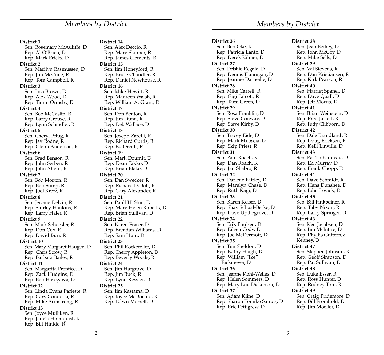**District 1** Sen. Rosemary McAuliffe, D Rep. Al O'Brien, D Rep. Mark Ericks, D **District 2** Sen. Marilyn Rasmussen, D Rep. Jim McCune, R Rep. Tom Campbell, R **District 3** Sen. Lisa Brown, D Rep. Alex Wood, D Rep. Timm Ormsby, D **District 4** Sen. Bob McCaslin, R Rep. Larry Crouse, R Rep. Lynn Schindler, R **District 5** Sen. Cheryl Pflug, R Rep. Jay Rodne, R Rep. Glenn Anderson, R **District 6** Sen. Brad Benson, R Rep. John Serben, R Rep. John Ahern, R **District 7** Sen. Bob Morton, R Rep. Bob Sump, R Rep. Joel Kretz, R **District 8** Sen. Jerome Delvin, R Rep. Shirley Hankins, R Rep. Larry Haler, R **District 9** Sen. Mark Schoesler, R Rep. Don Cox, R Rep. David Buri, R **District 10** Sen. Mary Margaret Haugen, D Rep. Chris Strow, R Rep. Barbara Bailey, R **District 11** Sen. Margarita Prentice, D Rep. Zack Hudgins, D Rep. Bob Hasegawa, D **District 12** Sen. Linda Evans Parlette, R Rep. Cary Condotta, R Rep. Mike Armstrong, R **District 13** Sen. Joyce Mulliken, R Rep. Jane'a Holmquist, R Rep. Bill Hinkle, R

**District 14** Sen. Alex Deccio, R Rep. Mary Skinner, R Rep. James Clements, R **District 15** Sen. Jim Honeyford, R Rep. Bruce Chandler, R Rep. Daniel Newhouse, R **District 16** Sen. Mike Hewitt, R Rep. Maureen Walsh, R Rep. William A. Grant, D **District 17** Sen. Don Benton, R Rep. Jim Dunn, R Rep. Deb Wallace, D **District 18** Sen. Joseph Zarelli, R Rep. Richard Curtis, R Rep. Ed Orcutt, R **District 19** Sen. Mark Doumit, D Rep. Dean Takko, D Rep. Brian Blake, D **District 20** Sen. Dan Swecker, R Rep. Richard DeBolt, R Rep. Gary Alexander, R **District 21** Sen. Paull H. Shin, D Rep. Mary Helen Roberts, D Rep. Brian Sullivan, D **District 22** Sen. Karen Fraser, D Rep. Brendan Williams, D Rep. Sam Hunt, D **District 23** Sen. Phil Rockefeller, D Rep. Sherry Appleton, D Rep. Beverly Woods, R **District 24** Sen. Jim Hargrove, D Rep. Jim Buck, R Rep. Lynn Kessler, D **District 25** Sen. Jim Kastama, D Rep. Joyce McDonald, R Rep. Dawn Morrell, D

**District 26** Sen. Bob Oke, R Rep. Patricia Lantz, D Rep. Derek Kilmer, D **District 27** Sen. Debbie Regala, D Rep. Dennis Flannigan, D Rep. Jeannie Darneille, D **District 28** Sen. Mike Carrell, R Rep. Gigi Talcott, R Rep. Tami Green, D **District 29** Sen. Rosa Franklin, D Rep. Steve Conway, D Rep. Steve Kirby, D **District 30** Sen. Tracey Eide, D Rep. Mark Miloscia, D Rep. Skip Priest, R **District 31** Sen. Pam Roach, R Rep. Dan Roach, R Rep. Jan Shabro, R **District 32** Sen. Darlene Fairley, D Rep. Maralyn Chase, D Rep. Ruth Kagi, D **District 33** Sen. Karen Keiser, D Rep. Shay Schual-Berke, D Rep. Dave Upthegrove, D **District 34** Sen. Erik Poulsen, D Rep. Eileen Cody, D Rep. Joe McDermott, D **District 35** Sen. Tim Sheldon, D Rep. Kathy Haigh, D Rep. William "Ike" Eickmeyer, D **District 36** Sen. Jeanne Kohl-Welles, D Rep. Helen Sommers, D Rep. Mary Lou Dickerson, D **District 37** Sen. Adam Kline, D Rep. Sharon Tomiko Santos, D Rep. Eric Pettigrew, D

#### *Members by District Members by District*

**District 38** Sen. Jean Berkey, D Rep. John McCoy, D Rep. Mike Sells, D **District 39** Sen. Val Stevens, R Rep. Dan Kristiansen, R Rep. Kirk Pearson, R **District 40** Sen. Harriet Spanel, D Rep. Dave Quall, D Rep. Jeff Morris, D **District 41** Sen. Brian Weinstein, D Rep. Fred Jarrett, R Rep. Judy Clibborn, D **District 42** Sen. Dale Brandland, R Rep. Doug Ericksen, R Rep. Kelli Linville, D **District 43** Sen. Pat Thibaudeau, D Rep. Ed Murray, D Rep. Frank Chopp, D **District 44** Sen. Dave Schmidt, R Rep. Hans Dunshee, D Rep. John Lovick, D **District 45** Sen. Bill Finkbeiner, R Rep. Toby Nixon, R Rep. Larry Springer, D **District 46** Sen. Ken Jacobsen, D Rep. Jim McIntire, D Rep. Phyllis Guiterrez Kenney, D **District 47** Sen. Stephen Johnson, R Rep. Geoff Simpson, D Rep. Pat Sullivan, D **District 48** Sen. Luke Esser, R Rep. Ross Hunter, D Rep. Rodney Tom, R **District 49** Sen. Craig Pridemore, D Rep. Bill Fromhold, D Rep. Jim Moeller, D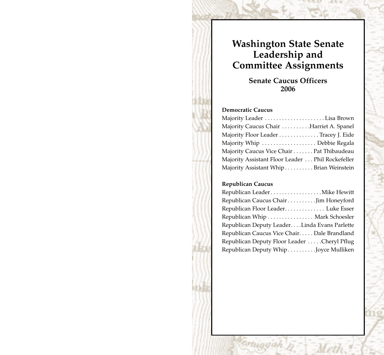# **Washington State Senate Leadership and Committee Assignments**

**Senate Caucus Officers 2006**

#### **Democratic Caucus**

| Majority Leader Lisa Brown                       |  |
|--------------------------------------------------|--|
| Majority Caucus Chair  Harriet A. Spanel         |  |
| Majority Floor Leader Tracey J. Eide             |  |
| Majority Whip  Debbie Regala                     |  |
| Majority Caucus Vice Chair Pat Thibaudeau        |  |
| Majority Assistant Floor Leader Phil Rockefeller |  |
| Majority Assistant Whip Brian Weinstein          |  |

#### **Republican Caucus**

| Republican LeaderMike Hewitt                 |  |
|----------------------------------------------|--|
| Republican Caucus Chair Jim Honeyford        |  |
| Republican Floor Leader Luke Esser           |  |
| Republican Whip Mark Schoesler               |  |
| Republican Deputy LeaderLinda Evans Parlette |  |
| Republican Caucus Vice Chair Dale Brandland  |  |
| Republican Deputy Floor Leader Cheryl Pflug  |  |
| Republican Deputy WhipJoyce Mulliken         |  |
|                                              |  |

rtuggah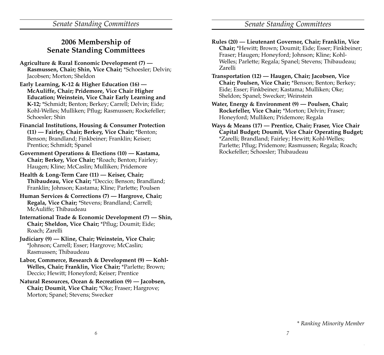*Senate Standing Committees Senate Standing Committees*

### **2006 Membership of Senate Standing Committees**

- **Agriculture & Rural Economic Development (7) — Rasmussen, Chair; Shin, Vice Chair;** \*Schoesler; Delvin; Jacobsen; Morton; Sheldon
- **Early Learning, K-12 & Higher Education (16) — McAuliffe, Chair; Pridemore, Vice Chair Higher Education; Weinstein, Vice Chair Early Learning and K-12;** \*Schmidt; Benton; Berkey; Carrell; Delvin; Eide; Kohl-Welles; Mulliken; Pflug; Rasmussen; Rockefeller; Schoesler; Shin
- **Financial Institutions, Housing & Consumer Protection (11) — Fairley, Chair; Berkey, Vice Chair;** \*Benton; Benson; Brandland; Finkbeiner; Franklin; Keiser; Prentice; Schmidt; Spanel
- **Government Operations & Elections (10) Kastama, Chair; Berkey, Vice Chair;** \*Roach; Benton; Fairley; Haugen; Kline; McCaslin; Mulliken; Pridemore
- **Health & Long-Term Care (11) Keiser, Chair; Thibaudeau, Vice Chair;** \*Deccio; Benson; Brandland; Franklin; Johnson; Kastama; Kline; Parlette; Poulsen
- **Human Services & Corrections (7) Hargrove, Chair; Regala, Vice Chair;** \*Stevens; Brandland; Carrell; McAuliffe; Thibaudeau
- **International Trade & Economic Development (7) Shin, Chair; Sheldon, Vice Chair;** \*Pflug; Doumit; Eide; Roach; Zarelli
- **Judiciary (9) Kline, Chair; Weinstein, Vice Chair;** \*Johnson; Carrell; Esser; Hargrove; McCaslin; Rasmussen; Thibaudeau
- **Labor, Commerce, Research & Development (9) Kohl-Welles, Chair; Franklin, Vice Chair;** \*Parlette; Brown; Deccio; Hewitt; Honeyford; Keiser; Prentice
- **Natural Resources, Ocean & Recreation (9) Jacobsen, Chair; Doumit, Vice Chair;** \*Oke; Fraser; Hargrove; Morton; Spanel; Stevens; Swecker
- **Rules (20) Lieutenant Governor, Chair; Franklin, Vice Chair;** \*Hewitt; Brown; Doumit; Eide; Esser; Finkbeiner; Fraser; Haugen; Honeyford; Johnson; Kline; Kohl-Welles; Parlette; Regala; Spanel; Stevens; Thibaudeau; Zarelli
- **Transportation (12) Haugen, Chair; Jacobsen, Vice Chair; Poulsen, Vice Chair;** \*Benson; Benton; Berkey; Eide; Esser; Finkbeiner; Kastama; Mulliken; Oke; Sheldon; Spanel; Swecker; Weinstein
- **Water, Energy & Environment (9) Poulsen, Chair; Rockefeller, Vice Chair;** \*Morton; Delvin; Fraser; Honeyford; Mulliken; Pridemore; Regala
- **Ways & Means (17) Prentice, Chair; Fraser, Vice Chair Capital Budget; Doumit, Vice Chair Operating Budget;** \*Zarelli; Brandland; Fairley; Hewitt; Kohl-Welles; Parlette; Pflug; Pridemore; Rasmussen; Regala; Roach; Rockefeller; Schoesler; Thibaudeau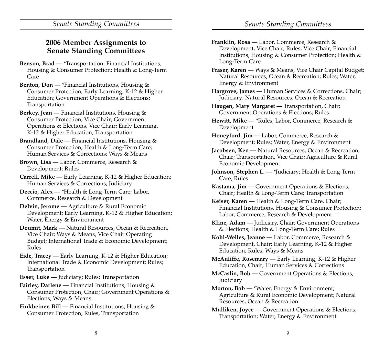*Senate Standing Committees Senate Standing Committees*

### **2006 Member Assignments to Senate Standing Committees**

- **Benson, Brad —** \*Transportation; Financial Institutions, Housing & Consumer Protection; Health & Long-Term Care
- **Benton, Don —** \*Financial Institutions, Housing & Consumer Protection; Early Learning, K-12 & Higher Education; Government Operations & Elections; Transportation
- **Berkey, Jean —** Financial Institutions, Housing & Consumer Protection, Vice Chair; Government Operations & Elections, Vice Chair; Early Learning, K-12 & Higher Education; Transportation
- **Brandland, Dale —** Financial Institutions, Housing & Consumer Protection; Health & Long-Term Care; Human Services & Corrections; Ways & Means
- **Brown, Lisa —** Labor, Commerce, Research & Development; Rules
- **Carrell, Mike —** Early Learning, K-12 & Higher Education; Human Services & Corrections; Judiciary
- **Deccio, Alex —** \*Health & Long-Term Care; Labor, Commerce, Research & Development
- **Delvin, Jerome —** Agriculture & Rural Economic Development; Early Learning, K-12 & Higher Education; Water, Energy & Environment
- **Doumit, Mark —** Natural Resources, Ocean & Recreation, Vice Chair; Ways & Means, Vice Chair Operating Budget; International Trade & Economic Development; Rules
- **Eide, Tracey —** Early Learning, K-12 & Higher Education; International Trade & Economic Development; Rules; Transportation
- **Esser, Luke —** Judiciary; Rules; Transportation
- **Fairley, Darlene —** Financial Institutions, Housing & Consumer Protection, Chair; Government Operations & Elections; Ways & Means
- **Finkbeiner, Bill —** Financial Institutions, Housing & Consumer Protection; Rules, Transportation
- **Franklin, Rosa —** Labor, Commerce, Research & Development, Vice Chair; Rules, Vice Chair; Financial Institutions, Housing & Consumer Protection; Health & Long-Term Care
- **Fraser, Karen —** Ways & Means, Vice Chair Capital Budget; Natural Resources, Ocean & Recreation; Rules; Water, Energy & Environment
- **Hargrove, James —** Human Services & Corrections, Chair; Judiciary; Natural Resources, Ocean & Recreation
- **Haugen, Mary Margaret —** Transportation, Chair; Government Operations & Elections; Rules
- **Hewitt, Mike —** \*Rules; Labor, Commerce, Research & Development
- **Honeyford, Jim —** Labor, Commerce, Research & Development; Rules; Water, Energy & Environment
- **Jacobsen, Ken —** Natural Resources, Ocean & Recreation, Chair; Transportation, Vice Chair; Agriculture & Rural Economic Development
- **Johnson, Stephen L. —** \*Judiciary; Health & Long-Term Care; Rules
- **Kastama, Jim —** Government Operations & Elections, Chair; Health & Long-Term Care; Transportation
- **Keiser, Karen —** Health & Long-Term Care, Chair; Financial Institutions, Housing & Consumer Protection; Labor, Commerce, Research & Development
- **Kline, Adam —** Judiciary, Chair; Government Operations & Elections; Health & Long-Term Care; Rules
- **Kohl-Welles, Jeanne —** Labor, Commerce, Research & Development, Chair; Early Learning, K-12 & Higher Education; Rules; Ways & Means
- **McAuliffe, Rosemary —** Early Learning, K-12 & Higher Education, Chair; Human Services & Corrections
- **McCaslin, Bob —** Government Operations & Elections; Judiciary
- **Morton, Bob —** \*Water, Energy & Environment; Agriculture & Rural Economic Development; Natural Resources, Ocean & Recreation
- **Mulliken, Joyce —** Government Operations & Elections; Transportation; Water, Energy & Environment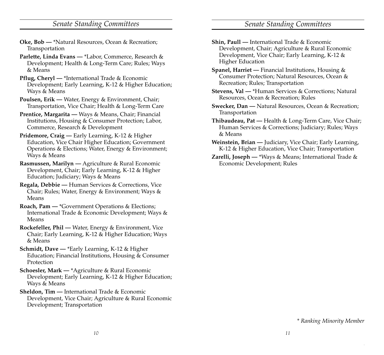### *Senate Standing Committees Senate Standing Committees*

- **Oke, Bob —** \*Natural Resources, Ocean & Recreation; Transportation
- **Parlette, Linda Evans —** \*Labor, Commerce, Research & Development; Health & Long-Term Care; Rules; Ways & Means
- **Pflug, Cheryl —** \*International Trade & Economic Development; Early Learning, K-12 & Higher Education; Ways & Means
- **Poulsen, Erik —** Water, Energy & Environment, Chair; Transportation, Vice Chair; Health & Long-Term Care
- **Prentice, Margarita —** Ways & Means, Chair; Financial Institutions, Housing & Consumer Protection; Labor, Commerce, Research & Development
- **Pridemore, Craig —** Early Learning, K-12 & Higher Education, Vice Chair Higher Education; Government Operations & Elections; Water, Energy & Environment; Ways & Means
- **Rasmussen, Marilyn —** Agriculture & Rural Economic Development, Chair; Early Learning, K-12 & Higher Education; Judiciary; Ways & Means
- **Regala, Debbie —** Human Services & Corrections, Vice Chair; Rules; Water, Energy & Environment; Ways & Means
- **Roach, Pam —** \*Government Operations & Elections; International Trade & Economic Development; Ways & Means
- **Rockefeller, Phil —** Water, Energy & Environment, Vice Chair; Early Learning, K-12 & Higher Education; Ways & Means
- **Schmidt, Dave —** \*Early Learning, K-12 & Higher Education; Financial Institutions, Housing & Consumer Protection
- **Schoesler, Mark —** \*Agriculture & Rural Economic Development; Early Learning, K-12 & Higher Education; Ways & Means
- **Sheldon, Tim —** International Trade & Economic Development, Vice Chair; Agriculture & Rural Economic Development; Transportation
- **Shin, Paull —** International Trade & Economic Development, Chair; Agriculture & Rural Economic Development, Vice Chair; Early Learning, K-12 & Higher Education
- **Spanel, Harriet —** Financial Institutions, Housing & Consumer Protection; Natural Resources, Ocean & Recreation; Rules; Transportation
- **Stevens, Val —** \*Human Services & Corrections; Natural Resources, Ocean & Recreation; Rules
- **Swecker, Dan —** Natural Resources, Ocean & Recreation; Transportation
- **Thibaudeau, Pat —** Health & Long-Term Care, Vice Chair; Human Services & Corrections; Judiciary; Rules; Ways & Means
- **Weinstein, Brian —** Judiciary, Vice Chair; Early Learning, K-12 & Higher Education, Vice Chair; Transportation
- **Zarelli, Joseph —** \*Ways & Means; International Trade & Economic Development; Rules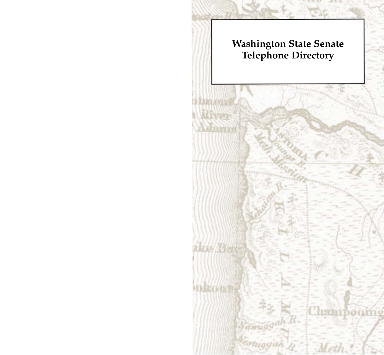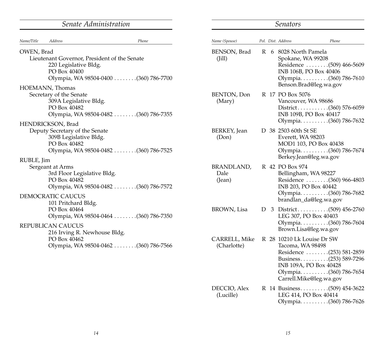|                                                                                                                           | Senate Administration                  |                                     |  | <b>Senators</b>                                                  |                                                                                                                                  |  |  |  |  |
|---------------------------------------------------------------------------------------------------------------------------|----------------------------------------|-------------------------------------|--|------------------------------------------------------------------|----------------------------------------------------------------------------------------------------------------------------------|--|--|--|--|
| Name/Title<br>Address                                                                                                     | Phone                                  | Name (Spouse)                       |  | Pol. Dist. Address                                               | Phone                                                                                                                            |  |  |  |  |
| OWEN, Brad<br>Lieutenant Governor, President of the Senate<br>220 Legislative Bldg.<br>PO Box 40400<br>HOEMANN, Thomas    |                                        | BENSON, Brad<br>(Iill)              |  | R 6 8028 North Pamela<br>Spokane, WA 99208                       | Residence (509) 466-5609<br>INB 106B, PO Box 40406<br>Olympia. (360) 786-7610<br>Benson.Brad@leg.wa.gov                          |  |  |  |  |
| Secretary of the Senate<br>309A Legislative Bldg.<br>PO Box 40482                                                         | Olympia, WA 98504-0482  (360) 786-7355 | BENTON, Don<br>(Mary)               |  | R 17 PO Box 5076<br>Vancouver, WA 98686                          | District(360) 576-6059<br>INB 109B, PO Box 40417<br>Olympia(360) 786-7632                                                        |  |  |  |  |
| HENDRICKSON, Brad<br>Deputy Secretary of the Senate<br>309B Legislative Bldg.<br>PO Box 40482                             | Olympia, WA 98504-0482 (360) 786-7525  | BERKEY, Jean<br>(Don)               |  | D 38 2503 60th St SE<br>Everett, WA 98203                        | MOD1 103, PO Box 40438<br>Olympia(360) 786-7674<br>Berkey.Jean@leg.wa.gov                                                        |  |  |  |  |
| RUBLE, Jim<br>Sergeant at Arms<br>3rd Floor Legislative Bldg.<br>PO Box 40482<br>DEMOCRATIC CAUCUS<br>101 Pritchard Bldg. | Olympia, WA 98504-0482  (360) 786-7572 | <b>BRANDLAND,</b><br>Dale<br>(Jean) |  | R 42 PO Box 974<br>Bellingham, WA 98227<br>INB 203, PO Box 40442 | Residence  (360) 966-4803<br>Olympia(360) 786-7682<br>brandlan_da@leg.wa.gov                                                     |  |  |  |  |
| PO Box 40464<br><b>REPUBLICAN CAUCUS</b><br>216 Irving R. Newhouse Bldg.                                                  |                                        | BROWN, Lisa                         |  | LEG 307, PO Box 40403<br>Brown.Lisa@leg.wa.gov                   | D 3 District(509) 456-2760<br>Olympia(360) 786-7604                                                                              |  |  |  |  |
| PO Box 40462                                                                                                              | Olympia, WA 98504-0462 (360) 786-7566  | CARRELL, Mike<br>(Charlotte)        |  | R 28 10210 Lk Louise Dr SW<br>Tacoma, WA 98498                   | Residence (253) 581-2859<br>Business(253) 589-7296<br>INB 109A, PO Box 40428<br>Olympia(360) 786-7654<br>Carrell.Mike@leg.wa.gov |  |  |  |  |
|                                                                                                                           |                                        | DECCIO, Alex<br>(Lucille)           |  | LEG 414, PO Box 40414                                            | Olympia(360) 786-7626                                                                                                            |  |  |  |  |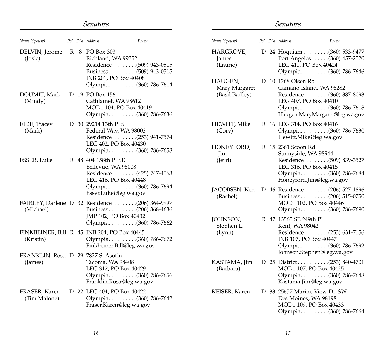|                                                          |   | Senators                                                                                     |                                                                                                     |
|----------------------------------------------------------|---|----------------------------------------------------------------------------------------------|-----------------------------------------------------------------------------------------------------|
| Name (Spouse)                                            |   | Pol. Dist. Address                                                                           | Phone                                                                                               |
| DELVIN, Jerome<br>(Josie)                                | R | 8 PO Box 303<br>Richland, WA 99352<br>INB 201, PO Box 40408                                  | Residence (509) 943-0515<br>Business(509) 943-0515<br>Olympia. (360) 786-7614                       |
| DOUMIT, Mark<br>(Mindy)                                  |   | D 19 PO Box 156<br>Cathlamet, WA 98612                                                       | MOD1 104, PO Box 40419<br>Olympia(360) 786-7636                                                     |
| EIDE, Tracey<br>(Mark)                                   |   | D 30 29214 13th Pl S<br>Federal Way, WA 98003<br>LEG 402, PO Box 40430                       | Residence (253) 941-7574<br>Olympia(360) 786-7658                                                   |
| ESSER, Luke                                              |   | R 48 404 158th Pl SE<br>Bellevue, WA 98008<br>LEG 416, PO Box 40448<br>Esser.Luke@leg.wa.gov | Residence (425) 747-4563<br>Olympia(360) 786-7694                                                   |
| (Michael)                                                |   | JMP 102, PO Box 40432                                                                        | FAIRLEY, Darlene D 32 Residence (206) 364-9997<br>Business(206) 368-4636<br>Olympia. (360) 786-7662 |
| FINKBEINER, Bill R 45 INB 204, PO Box 40445<br>(Kristin) |   |                                                                                              | Olympia. (360) 786-7672<br>Finkbeiner.Bill@leg.wa.gov                                               |
| FRANKLIN, Rosa D 29 7827 S. Asotin<br>(James)            |   | Tacoma, WA 98408<br>LEG 312, PO Box 40429                                                    | Olympia. (360) 786-7656<br>Franklin.Rosa@leg.wa.gov                                                 |
| FRASER, Karen<br>(Tim Malone)                            |   | D 22 LEG 404, PO Box 40422<br>Fraser.Karen@leg.wa.gov                                        | Olympia. (360) 786-7642                                                                             |

|                                            |  | Senators                                                                                                                                                       |
|--------------------------------------------|--|----------------------------------------------------------------------------------------------------------------------------------------------------------------|
| Name (Spouse)                              |  | Pol. Dist. Address<br>Phone                                                                                                                                    |
| HARGROVE,<br>James<br>(Laurie)             |  | D 24 Hoquiam (360) 533-9477<br>Port Angeles (360) 457-2520<br>LEG 411, PO Box 40424<br>Olympia(360) 786-7646                                                   |
| HAUGEN,<br>Mary Margaret<br>(Basil Badley) |  | D 10 1268 Olsen Rd<br>Camano Island, WA 98282<br>Residence  (360) 387-8093<br>LEG 407, PO Box 40410<br>Olympia(360) 786-7618<br>Haugen.MaryMargaret@leg.wa.gov |
| HEWITT, Mike<br>(Cory)                     |  | R 16 LEG 314, PO Box 40416<br>Olympia. (360) 786-7630<br>Hewitt.Mike@leg.wa.gov                                                                                |
| HONEYFORD,<br><b>Jim</b><br>(Jerri)        |  | R 15 2361 Scoon Rd<br>Sunnyside, WA 98944<br>Residence (509) 839-3527<br>LEG 316, PO Box 40415<br>Olympia(360) 786-7684<br>Honeyford.Jim@leg.wa.gov            |
| JACOBSEN, Ken<br>(Rachel)                  |  | D 46 Residence (206) 527-1896<br>Business(206) 515-0750<br>MOD1 102, PO Box 40446<br>Olympia(360) 786-7690                                                     |
| JOHNSON,<br>Stephen L.<br>(Lynn)           |  | R 47 13565 SE 249th Pl<br>Kent, WA 98042<br>Residence (253) 631-7156<br>INB 107, PO Box 40447<br>Olympia(360) 786-7692<br>Johnson.Stephen@leg.wa.gov           |
| KASTAMA, Jim<br>(Barbara)                  |  | MOD1 107, PO Box 40425<br>Olympia(360) 786-7648<br>Kastama.Jim@leg.wa.gov                                                                                      |
| KEISER, Karen                              |  | D 33 25657 Marine View Dr. SW<br>Des Moines, WA 98198<br>MOD1 109, PO Box 40433<br>Olympia. (360) 786-7664                                                     |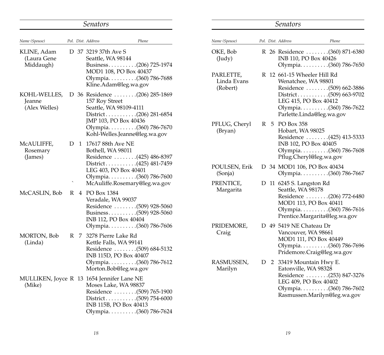|                                                      |   |    | Senators                                      |                                                                                                                                       |
|------------------------------------------------------|---|----|-----------------------------------------------|---------------------------------------------------------------------------------------------------------------------------------------|
| Name (Spouse)                                        |   |    | Pol. Dist. Address                            | Phone                                                                                                                                 |
| KLINE, Adam<br>(Laura Gene<br>Middaugh)              |   |    | D 37 3219 37th Ave S<br>Seattle, WA 98144     | Business(206) 725-1974<br>MOD1 108, PO Box 40437<br>Olympia(360) 786-7688<br>Kline.Adam@leg.wa.gov                                    |
| KOHL-WELLES,<br>Jeanne<br>(Alex Welles)              |   |    | 157 Roy Street<br>Seattle, WA 98109-4111      | D 36 Residence (206) 285-1869<br>JMP 103, PO Box 40436<br>Olympia(360) 786-7670<br>Kohl-Welles.Jeanne@leg.wa.gov                      |
| McAULIFFE,<br>Rosemary<br>(James)                    | D |    | 1 17617 88th Ave NE<br>Bothell, WA 98011      | Residence (425) 486-8397<br>District(425) 481-7459<br>LEG 403, PO Box 40401<br>Olympia(360) 786-7600<br>McAuliffe.Rosemary@leg.wa.gov |
| McCASLIN, Bob                                        | R |    | 4 PO Box 1384<br>Veradale, WA 99037           | Residence (509) 928-5060<br>Business(509) 928-5060<br>INB 112, PO Box 40404<br>Olympia(360) 786-7606                                  |
| MORTON, Bob<br>(Linda)                               | R | 7. | 3278 Pierre Lake Rd<br>Kettle Falls, WA 99141 | Residence (509) 684-5132<br>INB 115D, PO Box 40407<br>Olympia. (360) 786-7612<br>Morton.Bob@leg.wa.gov                                |
| MULLIKEN, Joyce R 13 1654 Jennifer Lane NE<br>(Mike) |   |    |                                               | Moses Lake, WA 98837<br>Residence (509) 765-1900<br>District(509) 754-6000<br>INB 115B, PO Box 40413<br>Olympia(360) 786-7624         |

|                                      |   |                | Senators                                                                                                                                                                                |
|--------------------------------------|---|----------------|-----------------------------------------------------------------------------------------------------------------------------------------------------------------------------------------|
| Name (Spouse)                        |   |                | Pol. Dist. Address<br>Phone                                                                                                                                                             |
| OKE, Bob<br>$($ Judy $)$             |   |                | R 26 Residence (360) 871-6380<br>INB 110, PO Box 40426<br>Olympia(360) 786-7650                                                                                                         |
| PARLETTE,<br>Linda Evans<br>(Robert) | R |                | 12 661-15 Wheeler Hill Rd<br>Wenatchee, WA 98801<br>Residence (509) 662-3886<br>District(509) 663-9702<br>LEG 415, PO Box 40412<br>Olympia. (360) 786-7622<br>Parlette.Linda@leg.wa.gov |
| PFLUG, Cheryl<br>(Bryan)             | R | 5              | PO Box 358<br>Hobart, WA 98025<br>Residence (425) 413-5333<br>INB 102, PO Box 40405<br>Olympia. (360) 786-7608<br>Pflug.Cheryl@leg.wa.gov                                               |
| POULSEN, Erik<br>(Sonja)             |   |                | D 34 MOD1 106, PO Box 40434<br>Olympia(360) 786-7667                                                                                                                                    |
| PRENTICE,<br>Margarita               | D |                | 11 6245 S. Langston Rd<br>Seattle, WA 98178<br>Residence (206) 772-6480<br>MOD1 113, PO Box 40411<br>Olympia(360) 786-7616<br>Prentice.Margarita@leg.wa.gov                             |
| PRIDEMORE,<br>Craig                  |   |                | D 49 5419 NE Chateau Dr<br>Vancouver, WA 98661<br>MOD1 111, PO Box 40449<br>Olympia(360) 786-7696<br>Pridemore.Craig@leg.wa.gov                                                         |
| RASMUSSEN,<br>Marilyn                | D | $\overline{2}$ | 33419 Mountain Hwy E.<br>Eatonville, WA 98328<br>Residence (253) 847-3276<br>LEG 409, PO Box 40402<br>Olympia. (360) 786-7602<br>Rasmussen.Marilyn@leg.wa.gov                           |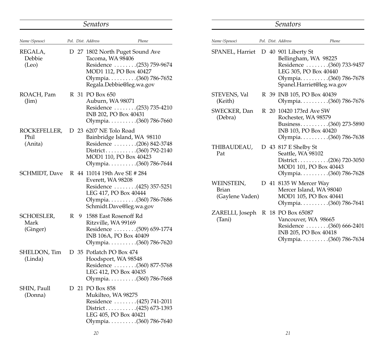|                                |                        | <i>Senators</i>                                                                                                                                                |                                             |  | <b>Senators</b>                                                                                                                 |  |
|--------------------------------|------------------------|----------------------------------------------------------------------------------------------------------------------------------------------------------------|---------------------------------------------|--|---------------------------------------------------------------------------------------------------------------------------------|--|
| Name (Spouse)                  | Pol. Dist. Address     | Phone                                                                                                                                                          | Name (Spouse)                               |  | Pol. Dist. Address<br>Phone                                                                                                     |  |
| REGALA,<br>Debbie<br>(Leo)     |                        | D 27 1802 North Puget Sound Ave<br>Tacoma, WA 98406<br>Residence (253) 759-9674<br>MOD1 112, PO Box 40427<br>Olympia(360) 786-7652<br>Regala.Debbie@leg.wa.gov | SPANEL, Harriet D 40 901 Liberty St         |  | Bellingham, WA 98225<br>Residence (360) 733-9457<br>LEG 305, PO Box 40440<br>Olympia(360) 786-7678<br>Spanel.Harriet@leg.wa.gov |  |
| ROACH, Pam<br>$(\lim)$         |                        | R 31 PO Box 650<br>Auburn, WA 98071                                                                                                                            | STEVENS, Val<br>(Keith)                     |  | R 39 INB 105, PO Box 40439<br>Olympia(360) 786-7676                                                                             |  |
|                                |                        | Residence (253) 735-4210<br>INB 202, PO Box 40431<br>Olympia(360) 786-7660                                                                                     | SWECKER, Dan<br>(Debra)                     |  | R 20 10420 173rd Ave SW<br>Rochester, WA 98579<br>Business(360) 273-5890                                                        |  |
| ROCKEFELLER,<br>Phil           | D 23 6207 NE Tolo Road | Bainbridge Island, WA 98110                                                                                                                                    |                                             |  | INB 103, PO Box 40420<br>Olympia(360) 786-7638                                                                                  |  |
| (Anita)                        |                        | Residence (206) 842-3748<br>MOD1 110, PO Box 40423<br>Olympia(360) 786-7644                                                                                    | THIBAUDEAU,<br>Pat                          |  | D 43 817 E Shelby St<br>Seattle, WA 98102<br>MOD1 101, PO Box 40443                                                             |  |
| SCHMIDT, Dave                  |                        | R 44 11014 19th Ave SE # 284<br>Everett, WA 98208<br>Residence (425) 357-5251<br>LEG 417, PO Box 40444<br>Olympia(360) 786-7686<br>Schmidt.Dave@leg.wa.gov     | WEINSTEIN,<br>Brian<br>(Gaylene Vaden)      |  | Olympia(360) 786-7628<br>D 41 8135 W Mercer Way<br>Mercer Island, WA 98040<br>MOD1 105, PO Box 40441<br>Olympia(360) 786-7641   |  |
| SCHOESLER,<br>Mark<br>(Ginger) |                        | R 9 1588 East Rosenoff Rd<br>Ritzville, WA 99169<br>Residence (509) 659-1774<br>INB 106A, PO Box 40409<br>Olympia(360) 786-7620                                | ZARELLI, Joseph R 18 PO Box 65087<br>(Tani) |  | Vancouver, WA 98665<br>Residence $\ldots \ldots (360) 666-2401$<br>INB 205, PO Box 40418<br>Olympia(360) 786-7634               |  |
| SHELDON, Tim<br>(Linda)        |                        | D 35 Potlatch PO Box 474<br>Hoodsport, WA 98548<br>Residence (360) 877-5768<br>LEG 412, PO Box 40435<br>Olympia(360) 786-7668                                  |                                             |  |                                                                                                                                 |  |
| SHIN, Paull<br>(Donna)         |                        | D 21 PO Box 858<br>Mukilteo, WA 98275<br>Residence (425) 741-2011<br>LEG 405, PO Box 40421<br>Olympia(360) 786-7640                                            |                                             |  |                                                                                                                                 |  |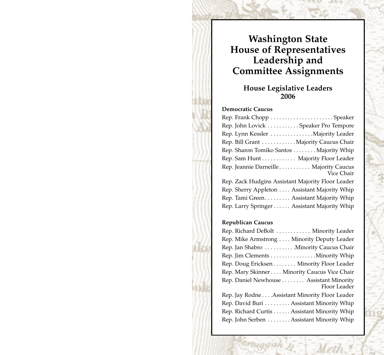# **Washington State House of Representatives Leadership and Committee Assignments**

### **House Legislative Leaders 2006**

#### **Democratic Caucus**

| Rep. John Lovick Speaker Pro Tempore                 |
|------------------------------------------------------|
| Rep. Lynn Kessler  Majority Leader                   |
| Rep. Bill Grant  Majority Caucus Chair               |
| Rep. Sharon Tomiko Santos Majority Whip              |
| Rep. Sam Hunt Majority Floor Leader                  |
| Rep. Jeannie Darneille Majority Caucus<br>Vice Chair |
| Rep. Zack Hudgins Assistant Majority Floor Leader    |
| Rep. Sherry Appleton Assistant Majority Whip         |
| Rep. Tami Green Assistant Majority Whip              |
| Rep. Larry Springer Assistant Majority Whip          |
|                                                      |

#### **Republican Caucus**

| Rep. Richard DeBolt  Minority Leader                     |
|----------------------------------------------------------|
| Rep. Mike Armstrong Minority Deputy Leader               |
| Rep. Jan Shabro  Minority Caucus Chair                   |
| Rep. Jim Clements Minority Whip                          |
| Rep. Doug Ericksen Minority Floor Leader                 |
| Rep. Mary Skinner Minority Caucus Vice Chair             |
| Rep. Daniel Newhouse  Assistant Minority<br>Floor Leader |
| Rep. Jay Rodne Assistant Minority Floor Leader           |
| Rep. David Buri Assistant Minority Whip                  |
| Rep. Richard Curtis Assistant Minority Whip              |
| Rep. John Serben Assistant Minority Whip                 |
|                                                          |

rtuggah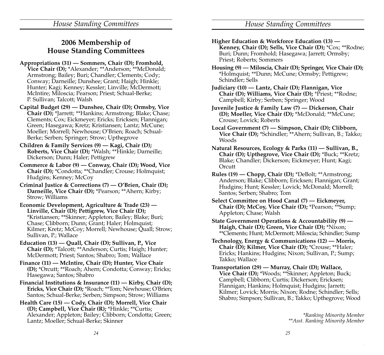### **2006 Membership of House Standing Committees**

- **Appropriations (31) Sommers, Chair (D); Fromhold, Vice Chair (D);** \*Alexander; \*\*Anderson; \*\*McDonald; Armstrong; Bailey; Buri; Chandler; Clements; Cody; Conway; Darneille; Dunshee; Grant; Haigh; Hinkle; Hunter; Kagi; Kenney; Kessler; Linville; McDermott; McIntire; Miloscia; Pearson; Priest; Schual-Berke; P. Sullivan; Talcott; Walsh
- **Capital Budget (29) Dunshee, Chair (D); Ormsby, Vice Chair (D);** \*Jarrett; \*\*Hankins; Armstrong; Blake; Chase; Clements; Cox; Eickmeyer; Ericks; Ericksen; Flannigan; Green; Hasegawa; Kretz; Kristiansen; Lantz; McCune; Moeller; Morrell; Newhouse; O'Brien; Roach; Schual-Berke; Serben; Springer; Strow; Upthegrove
- **Children & Family Services (9) Kagi, Chair (D); Roberts, Vice Chair (D);** \*Walsh; \*\*Hinkle; Darneille; Dickerson; Dunn; Haler; Pettigrew
- **Commerce & Labor (9) Conway, Chair (D); Wood, Vice Chair (D);** \*Condotta; \*\*Chandler; Crouse; Holmquist; Hudgins; Kenney; McCoy
- **Criminal Justice & Corrections (7) O'Brien, Chair (D); Darneille, Vice Chair (D);** \*Pearson; \*\*Ahern; Kirby; Strow; Williams
- **Economic Development, Agriculture & Trade (23) Linville, Chair (D); Pettigrew, Vice Chair (D);** \*Kristiansen; \*\*Skinner; Appleton; Bailey; Blake; Buri; Chase; Clibborn; Dunn; Grant; Haler; Holmquist; Kilmer; Kretz; McCoy; Morrell; Newhouse; Quall; Strow; Sullivan, P.; Wallace
- **Education (13) Quall, Chair (D); Sullivan, P., Vice Chair (D);** \*Talcott; \*\*Anderson; Curtis; Haigh; Hunter; McDermott; Priest; Santos; Shabro; Tom; Wallace
- **Finance (11) McIntire, Chair (D); Hunter, Vice Chair (D);** \*Orcutt; \*\*Roach; Ahern; Condotta; Conway; Ericks; Hasegawa; Santos; Shabro
- **Financial Institutions & Insurance (11) Kirby, Chair (D); Ericks, Vice Chair (D);** \*Roach; \*\*Tom; Newhouse; O'Brien; Santos; Schual-Berke; Serben; Simpson; Strow; Williams
- **Health Care (15) Cody, Chair (D); Morrell, Vice Chair (D); Campbell, Vice Chair (R);** \*Hinkle; \*\*Curtis; Alexander; Appleton; Bailey; Clibborn; Condotta; Green; Lantz; Moeller; Schual-Berke; Skinner
- **Higher Education & Workforce Education (13) Kenney, Chair (D); Sells, Vice Chair (D);** \*Cox; \*\*Rodne; Buri; Dunn; Fromhold; Hasegawa; Jarrett; Ormsby; Priest; Roberts; Sommers
- **Housing (9) Miloscia, Chair (D); Springer, Vice Chair (D);** \*Holmquist; \*\*Dunn; McCune; Ormsby; Pettigrew; Schindler; Sells
- **Judiciary (10) Lantz, Chair (D); Flannigan, Vice Chair (D); Williams, Vice Chair (D);** \*Priest; \*\*Rodne; Campbell; Kirby; Serben; Springer; Wood
- **Juvenile Justice & Family Law (7) Dickerson, Chair (D); Moeller, Vice Chair (D);** \*McDonald; \*\*McCune; Crouse; Lovick; Roberts
- **Local Government (7) Simpson, Chair (D); Clibborn, Vice Chair (D);** \*Schindler; \*\*Ahern; Sullivan, B.; Takko; Woods
- **Natural Resources, Ecology & Parks (11) Sullivan, B., Chair (D); Upthegrove, Vice Chair (D);** \*Buck; \*\*Kretz; Blake; Chandler; Dickerson; Eickmeyer; Hunt; Kagi; **Orcutt**
- **Rules (19) Chopp, Chair (D);** \*DeBolt; \*\*Armstrong; Anderson; Blake; Clibborn; Ericksen; Flannigan; Grant; Hudgins; Hunt; Kessler; Lovick; McDonald; Morrell; Santos; Serben; Shabro; Tom
- **Select Committee on Hood Canal (7) Eickmeyer, Chair (D); McCoy, Vice Chair (D);** \*Pearson; \*\*Sump; Appleton; Chase; Walsh
- **State Government Operations & Accountability (9) — Haigh, Chair (D); Green, Vice Chair (D);** \*Nixon; \*\*Clements; Hunt; McDermott; Miloscia; Schindler; Sump
- **Technology, Energy & Communications (12) Morris, Chair (D); Kilmer, Vice Chair (D);** \*Crouse; \*\*Haler; Ericks; Hankins; Hudgins; Nixon; Sullivan, P.; Sump; Takko; Wallace
- **Transportation (29) Murray, Chair (D); Wallace, Vice Chair (D);** \*Woods; \*\*Skinner; Appleton; Buck; Campbell; Clibborn; Curtis; Dickerson; Ericksen; Flannigan; Hankins; Holmquist; Hudgins; Jarrett; Kilmer; Lovick; Morris; Nixon; Rodne; Schindler; Sells; Shabro; Simpson; Sullivan, B.; Takko; Upthegrove; Wood

*\*Ranking Minority Member \*\*Asst. Ranking Minority Member*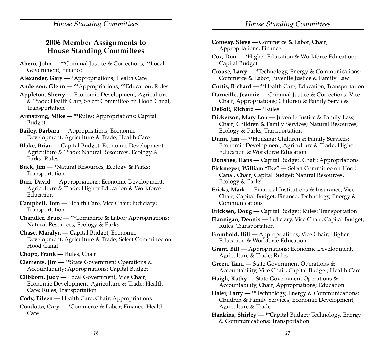|  | 2006 Member Assignments to       |
|--|----------------------------------|
|  | <b>House Standing Committees</b> |

- **Ahern, John —** \*\*Criminal Justice & Corrections; \*\*Local Government; Finance
- **Alexander, Gary —** \*Appropriations; Health Care
- **Anderson, Glenn —** \*\*Appropriations; \*\*Education; Rules
- **Appleton, Sherry —** Economic Development, Agriculture & Trade; Health Care; Select Committee on Hood Canal; Transportation
- **Armstrong, Mike —** \*\*Rules; Appropriations; Capital Budget
- **Bailey, Barbara —** Appropriations; Economic Development, Agriculture & Trade; Health Care
- **Blake, Brian —** Capital Budget; Economic Development, Agriculture & Trade; Natural Resources, Ecology & Parks; Rules
- **Buck, Jim —** \*Natural Resources, Ecology & Parks; Transportation
- **Buri, David —** Appropriations; Economic Development, Agriculture & Trade; Higher Education & Workforce Education
- **Campbell, Tom —** Health Care, Vice Chair; Judiciary; Transportation
- **Chandler, Bruce —** \*\*Commerce & Labor; Appropriations; Natural Resources, Ecology & Parks
- **Chase, Maralyn —** Capital Budget; Economic Development, Agriculture & Trade; Select Committee on Hood Canal
- **Chopp, Frank —** Rules, Chair
- **Clements, Jim —** \*\*State Government Operations & Accountability; Appropriations; Capital Budget
- **Clibborn, Judy —** Local Government, Vice Chair; Economic Development, Agriculture & Trade; Health Care; Rules; Transportation
- **Cody, Eileen —** Health Care, Chair; Appropriations

**Condotta, Cary —** \*Commerce & Labor; Finance; Health Care

| Conway, Steve - Commerce & Labor, Chair;<br>Appropriations; Finance                                                                              |
|--------------------------------------------------------------------------------------------------------------------------------------------------|
| Cox, Don - * Higher Education & Workforce Education;                                                                                             |
| Capital Budget                                                                                                                                   |
| Crouse, Larry - *Technology, Energy & Communications;                                                                                            |
| Commerce & Labor; Juvenile Justice & Family Law                                                                                                  |
| Curtis, Richard - ** Health Care; Education; Transportation                                                                                      |
| Darneille, Jeannie - Criminal Justice & Corrections, Vice<br>Chair; Appropriations; Children & Family Services                                   |
| DeBolt, Richard - *Rules                                                                                                                         |
| Dickerson, Mary Lou - Juvenile Justice & Family Law,<br>Chair; Children & Family Services; Natural Resources,<br>Ecology & Parks; Transportation |
| Dunn, Jim - **Housing; Children & Family Services;<br>Economic Development, Agriculture & Trade; Higher<br>Education & Workforce Education       |
| Dunshee, Hans - Capital Budget, Chair; Appropriations                                                                                            |
| Eickmeyer, William "Ike" - Select Committee on Hood<br>Canal, Chair; Capital Budget; Natural Resources,<br>Ecology & Parks                       |
| Ericks, Mark — Financial Institutions & Insurance, Vice                                                                                          |
| Chair; Capital Budget; Finance; Technology, Energy &<br>Communications                                                                           |
| Ericksen, Doug - Capital Budget; Rules; Transportation                                                                                           |
| Flannigan, Dennis - Judiciary, Vice Chair; Capital Budget;<br>Rules; Transportation                                                              |
| Fromhold, Bill - Appropriations, Vice Chair; Higher<br>Education & Workforce Education                                                           |
| Grant, Bill - Appropriations; Economic Development,<br>Agriculture & Trade; Rules                                                                |
| Green, Tami - State Government Operations &<br>Accountability, Vice Chair; Capital Budget; Health Care                                           |
|                                                                                                                                                  |
| Haigh, Kathy - State Government Operations &<br>Accountability, Chair; Appropriations; Education                                                 |
| Haler, Larry - **Technology, Energy & Communications;                                                                                            |
| Children & Family Services; Economic Development,<br>Agriculture & Trade                                                                         |
| Hankins, Shirley - ** Capital Budget; Technology, Energy                                                                                         |
| & Communications; Transportation                                                                                                                 |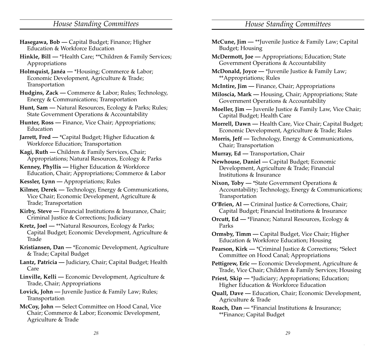- **Hasegawa, Bob —** Capital Budget; Finance; Higher Education & Workforce Education
- **Hinkle, Bill —** \*Health Care; \*\*Children & Family Services; Appropriations
- **Holmquist, Janéa —** \*Housing; Commerce & Labor; Economic Development, Agriculture & Trade; Transportation
- **Hudgins, Zack —** Commerce & Labor; Rules; Technology, Energy & Communications; Transportation
- **Hunt, Sam —** Natural Resources, Ecology & Parks; Rules; State Government Operations & Accountability
- **Hunter, Ross —** Finance, Vice Chair; Appropriations; Education
- **Jarrett, Fred —** \*Capital Budget; Higher Education & Workforce Education; Transportation
- **Kagi, Ruth —** Children & Family Services, Chair; Appropriations; Natural Resources, Ecology & Parks
- **Kenney, Phyllis —** Higher Education & Workforce Education, Chair; Appropriations; Commerce & Labor
- **Kessler, Lynn —** Appropriations; Rules
- **Kilmer, Derek —** Technology, Energy & Communications, Vice Chair; Economic Development, Agriculture & Trade; Transportation
- **Kirby, Steve —** Financial Institutions & Insurance, Chair; Criminal Justice & Corrections; Judiciary
- **Kretz, Joel —** \*\*Natural Resources, Ecology & Parks; Capital Budget; Economic Development, Agriculture & Trade
- **Kristiansen, Dan —** \*Economic Development, Agriculture & Trade; Capital Budget
- **Lantz, Patricia —** Judiciary, Chair; Capital Budget; Health Care
- **Linville, Kelli —** Economic Development, Agriculture & Trade, Chair; Appropriations
- **Lovick, John —** Juvenile Justice & Family Law; Rules; Transportation
- **McCoy, John —** Select Committee on Hood Canal, Vice Chair; Commerce & Labor; Economic Development, Agriculture & Trade

| McCune, Jim - **Juvenile Justice & Family Law; Capital |  |  |
|--------------------------------------------------------|--|--|
| Budget; Housing                                        |  |  |

- **McDermott, Joe —** Appropriations; Education; State Government Operations & Accountability
- **McDonald, Joyce —** \*Juvenile Justice & Family Law; \*\*Appropriations; Rules
- **McIntire, Jim —** Finance, Chair; Appropriations
- **Miloscia, Mark —** Housing, Chair; Appropriations; State Government Operations & Accountability
- **Moeller, Jim —** Juvenile Justice & Family Law, Vice Chair; Capital Budget; Health Care
- **Morrell, Dawn —** Health Care, Vice Chair; Capital Budget; Economic Development, Agriculture & Trade; Rules
- **Morris, Jeff —** Technology, Energy & Communications, Chair; Transportation
- **Murray, Ed —** Transportation, Chair
- **Newhouse, Daniel —** Capital Budget; Economic Development, Agriculture & Trade; Financial Institutions & Insurance
- **Nixon, Toby —** \*State Government Operations & Accountability; Technology, Energy & Communications; Transportation
- **O'Brien, Al —** Criminal Justice & Corrections, Chair; Capital Budget; Financial Institutions & Insurance
- **Orcutt, Ed —** \*Finance; Natural Resources, Ecology & Parks
- **Ormsby, Timm —** Capital Budget, Vice Chair; Higher Education & Workforce Education; Housing
- **Pearson, Kirk —** \*Criminal Justice & Corrections; \*Select Committee on Hood Canal; Appropriations
- **Pettigrew, Eric —** Economic Development, Agriculture & Trade, Vice Chair; Children & Family Services; Housing
- Priest, Skip \*Judiciary; Appropriations; Education; Higher Education & Workforce Education
- **Quall, Dave —** Education, Chair; Economic Development, Agriculture & Trade
- **Roach, Dan —** \*Financial Institutions & Insurance; \*\*Finance; Capital Budget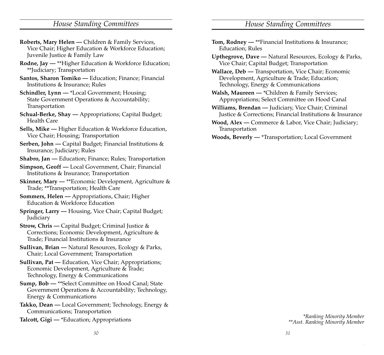- **Roberts, Mary Helen —** Children & Family Services, Vice Chair; Higher Education & Workforce Education; Juvenile Justice & Family Law
- **Rodne, Jay —** \*\*Higher Education & Workforce Education; \*\*Judiciary; Transportation
- **Santos, Sharon Tomiko —** Education; Finance; Financial Institutions & Insurance; Rules
- **Schindler, Lynn —** \*Local Government; Housing; State Government Operations & Accountability; Transportation
- **Schual-Berke, Shay —** Appropriations; Capital Budget; Health Care
- **Sells, Mike —** Higher Education & Workforce Education, Vice Chair; Housing; Transportation
- **Serben, John —** Capital Budget; Financial Institutions & Insurance; Judiciary; Rules
- **Shabro, Jan —** Education; Finance; Rules; Transportation
- **Simpson, Geoff —** Local Government, Chair; Financial Institutions & Insurance; Transportation
- **Skinner, Mary —** \*\*Economic Development, Agriculture & Trade; \*\*Transportation; Health Care
- **Sommers, Helen —** Appropriations, Chair; Higher Education & Workforce Education
- **Springer, Larry —** Housing, Vice Chair; Capital Budget; Judiciary
- **Strow, Chris —** Capital Budget; Criminal Justice & Corrections; Economic Development, Agriculture & Trade; Financial Institutions & Insurance
- **Sullivan, Brian —** Natural Resources, Ecology & Parks, Chair; Local Government; Transportation
- **Sullivan, Pat —** Education, Vice Chair; Appropriations; Economic Development, Agriculture & Trade; Technology, Energy & Communications
- **Sump, Bob —** \*\*Select Committee on Hood Canal; State Government Operations & Accountability; Technology, Energy & Communications
- **Takko, Dean —** Local Government; Technology, Energy & Communications; Transportation
- **Talcott, Gigi —** \*Education; Appropriations *\*Ranking Minority Member*
- **Tom, Rodney —** \*\*Financial Institutions & Insurance; Education; Rules
- **Upthegrove, Dave —** Natural Resources, Ecology & Parks, Vice Chair; Capital Budget; Transportation
- **Wallace, Deb —** Transportation, Vice Chair; Economic Development, Agriculture & Trade; Education; Technology, Energy & Communications
- **Walsh, Maureen —** \*Children & Family Services; Appropriations; Select Committee on Hood Canal
- **Williams, Brendan —** Judiciary, Vice Chair; Criminal Justice & Corrections; Financial Institutions & Insurance
- **Wood, Alex —** Commerce & Labor, Vice Chair; Judiciary; Transportation
- **Woods, Beverly —** \*Transportation; Local Government

*\*\*Asst. Ranking Minority Member*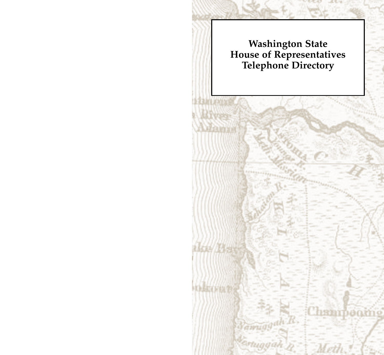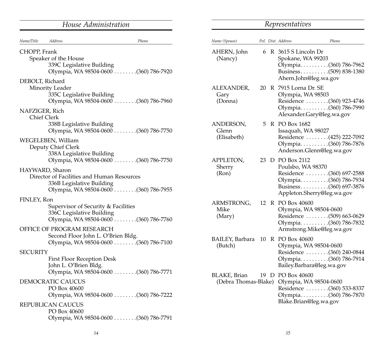| House Administration                                                                                                                                                                              |       | Representatives                                             |  |                                                                                        |                                                                                                           |  |  |
|---------------------------------------------------------------------------------------------------------------------------------------------------------------------------------------------------|-------|-------------------------------------------------------------|--|----------------------------------------------------------------------------------------|-----------------------------------------------------------------------------------------------------------|--|--|
| Name/Title<br><b>Address</b>                                                                                                                                                                      | Phone | Name (Spouse)                                               |  | Pol. Dist. Address                                                                     | Phone                                                                                                     |  |  |
| CHOPP, Frank<br>Speaker of the House<br>339C Legislative Building<br>Olympia, WA 98504-0600 (360) 786-7920<br>DEBOLT, Richard                                                                     |       | AHERN, John<br>(Nancy)                                      |  | $6 \text{ R } 3615 \text{ S}$ Lincoln Dr<br>Spokane, WA 99203<br>Ahern.John@leg.wa.gov | Olympia(360) 786-7962                                                                                     |  |  |
| Minority Leader<br>335C Legislative Building<br>Olympia, WA 98504-0600 (360) 786-7960<br>NAFZIGER, Rich<br>Chief Clerk                                                                            |       | ALEXANDER,<br>Gary<br>(Donna)                               |  | 20 R 7915 Lorna Dr. SE<br>Olympia, WA 98503                                            | Residence (360) 923-4746<br>Olympia(360) 786-7990<br>Alexander.Gary@leg.wa.gov                            |  |  |
| 338B Legislative Building<br>Olympia, WA 98504-0600 (360) 786-7750<br>WEGELEBEN, William<br>Deputy Chief Clerk<br>338A Legislative Building                                                       |       | ANDERSON,<br>Glenn<br>(Elisabeth)                           |  | 5 R PO Box 1682<br>Issaquah, WA 98027                                                  | Residence (425) 222-7092<br>Olympia(360) 786-7876<br>Anderson.Glenn@leg.wa.gov                            |  |  |
| Olympia, WA 98504-0600 (360) 786-7750<br>HAYWARD, Sharon<br>Director of Facilities and Human Resources<br>336B Legislative Building<br>Olympia, WA 98504-0600 (360) 786-7955                      |       | APPLETON,<br>Sherry<br>(Ron)                                |  | 23 D PO Box 2112<br>Poulsbo, WA 98370                                                  | Residence (360) 697-2588<br>Olympia(360) 786-7934<br>Business(360) 697-3876<br>Appleton.Sherry@leg.wa.gov |  |  |
| FINLEY, Ron<br>Supervisor of Security & Facilities<br>336C Legislative Building<br>Olympia, WA 98504-0600 (360) 786-7760<br>OFFICE OF PROGRAM RESEARCH                                            |       | ARMSTRONG,<br>Mike<br>(Mary)                                |  | 12 R PO Box 40600<br>Olympia, WA 98504-0600                                            | Residence (509) 663-0629<br>Olympia(360) 786-7832<br>Armstrong.Mike@leg.wa.gov                            |  |  |
| Second Floor John L. O'Brien Bldg.<br><b>SECURITY</b><br>First Floor Reception Desk<br>John L. O'Brien Bldg.                                                                                      |       | BAILEY, Barbara 10 R PO Box 40600<br>(Butch)                |  | Olympia, WA 98504-0600                                                                 | Residence (360) 240-0844<br>Olympia(360) 786-7914<br>Bailey.Barbara@leg.wa.gov                            |  |  |
| Olympia, WA 98504-0600 (360) 786-7771<br>DEMOCRATIC CAUCUS<br>PO Box 40600<br>Olympia, WA 98504-0600 (360) 786-7222<br>REPUBLICAN CAUCUS<br>PO Box 40600<br>Olympia, WA 98504-0600 (360) 786-7791 |       | BLAKE, Brian<br>(Debra Thomas-Blake) Olympia, WA 98504-0600 |  | 19 D PO Box 40600<br>Blake.Brian@leg.wa.gov                                            | Residence  (360) 533-8337<br>Olympia(360) 786-7870                                                        |  |  |
|                                                                                                                                                                                                   |       |                                                             |  |                                                                                        |                                                                                                           |  |  |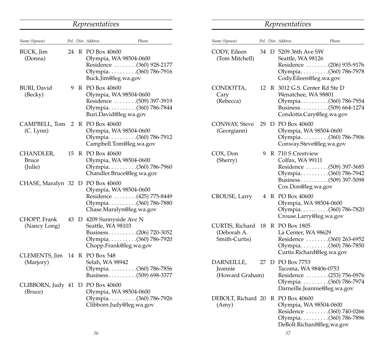| Representatives               |    |  |                                             |                                                                                                         |  |
|-------------------------------|----|--|---------------------------------------------|---------------------------------------------------------------------------------------------------------|--|
| Name (Spouse)                 |    |  | Pol. Dist. Address                          | Phone                                                                                                   |  |
| BUCK, Jim<br>(Donna)          |    |  | 24 R PO Box 40600<br>Buck.Jim@leg.wa.gov    | Olympia, WA 98504-0600<br>Residence  (360) 928-2177<br>Olympia. (360) 786-7916                          |  |
| BURI, David<br>(Becky)        | 9  |  | R PO Box 40600                              | Olympia, WA 98504-0600<br>Residence (509) 397-3919<br>Olympia(360) 786-7844<br>Buri.David@leg.wa.gov    |  |
| CAMPBELL, Tom<br>(C. Lynn)    | 2  |  | R PO Box 40600                              | Olympia, WA 98504-0600<br>Olympia(360) 786-7912<br>Campbell.Tom@leg.wa.gov                              |  |
| CHANDLER,<br>Bruce<br>(Julie) | 15 |  | R PO Box 40600                              | Olympia, WA 98504-0600<br>Olympia(360) 786-7960<br>Chandler.Bruce@leg.wa.gov                            |  |
| CHASE, Maralyn 32             |    |  | D PO Box 40600                              | Olympia, WA 98504-0600<br>Residence (425) 775-8449<br>Olympia(360) 786-7880<br>Chase.Maralyn@leg.wa.gov |  |
| CHOPP, Frank<br>(Nancy Long)  | 43 |  | D 4209 Sunnyside Ave N<br>Seattle, WA 98103 | Business(206) 720-3052<br>Olympia. (360) 786-7920<br>Chopp.Frank@leg.wa.gov                             |  |
| CLEMENTS, Jim<br>(Marjory)    | 14 |  | R PO Box 548<br>Selah, WA 98942             | Olympia. (360) 786-7856<br>Business(509) 698-3377                                                       |  |
| CLIBBORN, Judy 41<br>(Bruce)  |    |  | D PO Box 40600                              | Olympia, WA 98504-0600<br>Olympia. (360) 786-7926<br>Clibborn.Judy@leg.wa.gov                           |  |

| Representatives |
|-----------------|
|-----------------|

| Name (Spouse)                                   |    | Pol. Dist. Address                                                                                                                         | Phone |
|-------------------------------------------------|----|--------------------------------------------------------------------------------------------------------------------------------------------|-------|
| CODY, Eileen<br>(Tom Mitchell)                  |    | 34 D 5209 36th Ave SW<br>Seattle, WA 98126<br>Residence (206) 935-9176<br>Olympia(360) 786-7978<br>Cody.Eileen@leg.wa.gov                  |       |
| CONDOTTA,<br>Cary<br>(Rebecca)                  | 12 | R 3012 G.S. Center Rd Ste D<br>Wenatchee, WA 98801<br>Olympia(360) 786-7954<br>Business(509) 664-1274<br>Condotta.Cary@leg.wa.gov          |       |
| CONWAY, Steve<br>(Georgiann)                    | 29 | D PO Box 40600<br>Olympia, WA 98504-0600<br>Olympia(360) 786-7906<br>Conway.Steve@leg.wa.gov                                               |       |
| COX, Don<br>(Sherry)                            | 9  | R 710 S Crestview<br>Colfax, WA 99111<br>Residence (509) 397-3685<br>Olympia(360) 786-7942<br>Business(509) 397-5098<br>Cox.Don@leg.wa.gov |       |
| CROUSE, Larry                                   | 4  | R PO Box 40600<br>Olympia, WA 98504-0600<br>Olympia(360) 786-7820<br>Crouse.Larry@leg.wa.gov                                               |       |
| CURTIS, Richard<br>(Deborah A.<br>Smith-Curtis) | 18 | R PO Box 1805<br>La Center, WA 98629<br>Residence (360) 263-6952<br>Olympia(360) 786-7850<br>Curtis.Richard@leg.wa.gov                     |       |
| DARNEILLE,<br>Jeannie<br>(Howard Graham)        | 27 | D PO Box 7753<br>Tacoma, WA 98406-0753<br>Residence (253) 756-0976<br>Olympia(360) 786-7974<br>Darneille.Jeannie@leg.wa.gov                |       |
| DEBOLT, Richard 20<br>(Amy)                     |    | R PO Box 40600<br>Olympia, WA 98504-0600<br>Residence  (360) 740-0266<br>Olympia(360) 786-7896<br>DeBolt.Richard@leg.wa.gov                |       |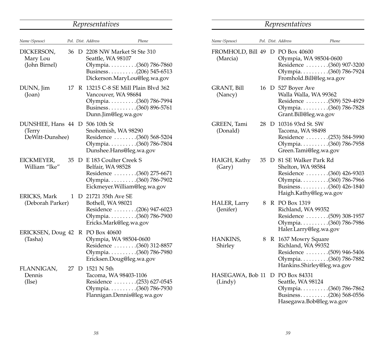|                                                             |  | Representatives                                                                                                                          |       |                               |
|-------------------------------------------------------------|--|------------------------------------------------------------------------------------------------------------------------------------------|-------|-------------------------------|
| Name (Spouse)                                               |  | Pol. Dist. Address                                                                                                                       | Phone | Name (Spouse)                 |
| DICKERSON,<br>Mary Lou<br>(John Birnel)                     |  | 36 D 2208 NW Market St Ste 310<br>Seattle, WA 98107<br>Olympia. (360) 786-7860<br>Business(206) 545-6513<br>Dickerson.MaryLou@leg.wa.gov |       | FROMHOLD, B<br>(Marcia)       |
| DUNN, Jim<br>$($ Joan $)$                                   |  | 17 R 13215 C-8 SE Mill Plain Blvd 362<br>Vancouver, WA 98684<br>Olympia(360) 786-7994<br>Business(360) 896-5761<br>Dunn.Jim@leg.wa.gov   |       | <b>GRANT, Bill</b><br>(Nancy) |
| DUNSHEE, Hans 44 D 506 10th St<br>(Terry<br>DeWitt-Dunshee) |  | Snohomish, WA 98290<br>Residence  (360) 568-5204<br>Olympia(360) 786-7804<br>Dunshee.Hans@leg.wa.gov                                     |       | GREEN, Tami<br>(Donald)       |
| EICKMEYER,<br>William "Ike"                                 |  | 35 D E 183 Coulter Creek S<br>Belfair, WA 98528<br>Residence (360) 275-6671<br>Olympia(360) 786-7902<br>Eickmeyer.William@leg.wa.gov     |       | HAIGH, Kathy<br>(Gary)        |
| ERICKS, Mark<br>(Deborah Parker)                            |  | 1 D 21721 35th Ave SE<br>Bothell, WA 98021<br>Residence (206) 947-6023<br>Olympia(360) 786-7900<br>Ericks.Mark@leg.wa.gov                |       | HALER, Larry<br>(Jenifer)     |
| ERICKSEN, Doug 42 R PO Box 40600<br>(Tasha)                 |  | Olympia, WA 98504-0600<br>Residence  (360) 312-8857<br>Olympia. (360) 786-7980<br>Ericksen.Doug@leg.wa.gov                               |       | HANKINS,<br>Shirley           |
| FLANNIGAN,<br>Dennis<br>(Ilse)                              |  | 27 D 1521 N 5th<br>Tacoma, WA 98403-1106<br>Residence (253) 627-0545<br>Olympia. (360) 786-7930<br>Flannigan.Dennis@leg.wa.gov           |       | HASEGAWA, Bo<br>(Lindy)       |

### *Representatives*

| Name (Spouse)                 |    |   | Pol. Dist. Address<br>Phone                                                                                                                             |
|-------------------------------|----|---|---------------------------------------------------------------------------------------------------------------------------------------------------------|
| FROMHOLD, Bill 49<br>(Marcia) |    | D | PO Box 40600<br>Olympia, WA 98504-0600<br>Residence  (360) 907-3200<br>Olympia(360) 786-7924<br>Fromhold.Bill@leg.wa.gov                                |
| GRANT, Bill<br>(Nancy)        |    |   | 16 D 527 Boyer Ave<br>Walla Walla, WA 99362<br>Residence (509) 529-4929<br>Olympia(360) 786-7828<br>Grant.Bill@leg.wa.gov                               |
| GREEN, Tami<br>(Donald)       | 28 |   | D 10316 93rd St. SW<br>Tacoma, WA 98498<br>Residence (253) 584-5990<br>Olympia(360) 786-7958<br>Green.Tami@leg.wa.gov                                   |
| HAIGH, Kathy<br>(Gary)        |    |   | 35 D 81 SE Walker Park Rd<br>Shelton, WA 98584<br>Residence (360) 426-9303<br>Olympia(360) 786-7966<br>Business(360) 426-1840<br>Haigh.Kathy@leg.wa.gov |
| HALER, Larry<br>(Jenifer)     | 8  |   | R PO Box 1319<br>Richland, WA 99352<br>Residence (509) 308-1957<br>Olympia(360) 786-7986<br>Haler.Larry@leg.wa.gov                                      |
| HANKINS,<br>Shirley           | 8  |   | R 1637 Mowry Square<br>Richland, WA 99352<br>Residence (509) 946-5406<br>Olympia(360) 786-7882<br>Hankins.Shirley@leg.wa.gov                            |
| HASEGAWA, Bob 11<br>(Lindy)   |    | D | PO Box 84331<br>Seattle, WA 98124<br>Olympia(360) 786-7862<br>Business(206) 568-0556<br>Hasegawa.Bob@leg.wa.gov                                         |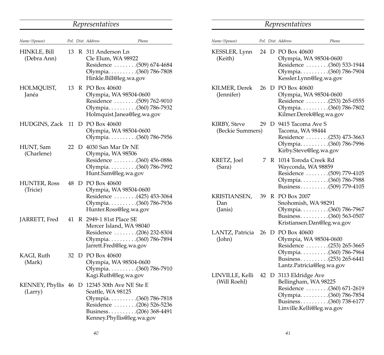#### *Representatives Name (Spouse) Pol. Dist. Address Phone* HINKLE, Bill 13 R 311 Anderson Ln (Debra Ann) Cle Elum, WA 98922 Residence . . . . . . . .(509) 674-4684 Olympia . . . . . . . . . .(360) 786-7808 Hinkle.Bill@leg.wa.gov HOLMQUIST, 13 R PO Box 40600 Janéa Olympia, WA 98504-0600 Residence . . . . . . . .(509) 762-9010 Olympia . . . . . . . . . .(360) 786-7932 Holmquist.Janea@leg.wa.gov HUDGINS, Zack 11 D PO Box 40600 Olympia, WA 98504-0600 Olympia . . . . . . . . . .(360) 786-7956 HUNT, Sam 22 D 4030 San Mar Dr NE (Charlene) Olympia, WA 98506 Residence . . . . . . . .(360) 456-0886 Olympia . . . . . . . . . .(360) 786-7992 Hunt.Sam@leg.wa.gov HUNTER, Ross 48 D PO Box 40600 (Tricie) Olympia, WA 98504-0600 Residence . . . . . . . .(425) 453-3064 Olympia . . . . . . . . . .(360) 786-7936 Hunter.Ross@leg.wa.gov JARRETT, Fred 41 R 2949-1 81st Place SE Mercer Island, WA 98040 Residence . . . . . . . .(206) 232-8304 Olympia . . . . . . . . . .(360) 786-7894 Jarrett.Fred@leg.wa.gov KAGI, Ruth 32 D PO Box 40600 (Mark) Olympia, WA 98504-0600 Olympia . . . . . . . . . .(360) 786-7910 Kagi.Ruth@leg.wa.gov KENNEY, Phyllis 46 D 12345 30th Ave NE Ste E (Larry) Seattle, WA 98125 Olympia . . . . . . . . . .(360) 786-7818 Residence . . . . . . . .(206) 526-5236 Business . . . . . . . . . .(206) 368-4491 Kenney.Phyllis@leg.wa.gov

### *Representatives*

| Name (Spouse)                    |    |   | Pol. Dist. Address                                                       | Phone                                                                        |
|----------------------------------|----|---|--------------------------------------------------------------------------|------------------------------------------------------------------------------|
| KESSLER, Lynn<br>(Keith)         |    |   | 24 D PO Box 40600<br>Olympia, WA 98504-0600<br>Kessler.Lynn@leg.wa.gov   | Residence  (360) 533-1944<br>Olympia(360) 786-7904                           |
| KILMER, Derek<br>(Jennifer)      | 26 |   | D PO Box 40600<br>Olympia, WA 98504-0600<br>Kilmer.Derek@leg.wa.gov      | Residence (253) 265-0555<br>Olympia. (360) 786-7802                          |
| KIRBY, Steve<br>(Beckie Summers) | 29 |   | D 9415 Tacoma Ave S<br>Tacoma, WA 98444<br>Kirby.Steve@leg.wa.gov        | Residence (253) 473-3663<br>Olympia(360) 786-7996                            |
| KRETZ, Joel<br>(Sara)            | 7  |   | R 1014 Toroda Creek Rd<br>Wayconda, WA 98859                             | Residence (509) 779-4105<br>Olympia(360) 786-7988<br>Business(509) 779-4105  |
| KRISTIANSEN,<br>Dan<br>(Janis)   | 39 | R | PO Box 2007<br>Snohomish, WA 98291<br>Kristiansen.Dan@leg.wa.gov         | Olympia(360) 786-7967<br>Business(360) 563-0507                              |
| LANTZ, Patricia<br>(John)        | 26 | D | PO Box 40600<br>Olympia, WA 98504-0600<br>Lantz.Patricia@leg.wa.gov      | Residence (253) 265-3665<br>Olympia(360) 786-7964<br>Business(253) 265-6441  |
| LINVILLE, Kelli<br>(Will Roehl)  | 42 |   | D 3113 Eldridge Ave<br>Bellingham, WA 98225<br>Linville.Kelli@leg.wa.gov | Residence  (360) 671-2619<br>Olympia(360) 786-7854<br>Business(360) 738-6177 |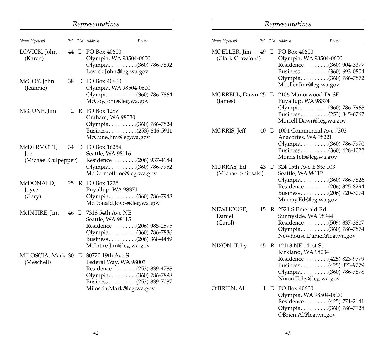#### *Representatives Name (Spouse) Pol. Dist. Address Phone Representatives Name (Spouse) Pol. Dist. Address Phone* MOELLER, Jim 49 D PO Box 40600 (Clark Crawford) Olympia, WA 98504-0600 Residence . . . . . . . .(360) 904-3377 Business . . . . . . . . . .(360) 693-0804 Olympia . . . . . . . . . .(360) 786-7872 Moeller.Jim@leg.wa.gov MORRELL, Dawn 25 D 2106 Manorwood Dr SE (James) Puyallup, WA 98374 Olympia . . . . . . . . . .(360) 786-7968 Business . . . . . . . . . .(253) 845-6767 Morrell.Dawn@leg.wa.gov MORRIS, Jeff 40 D 1004 Commercial Ave #303 Anacortes, WA 98221 Olympia . . . . . . . . . .(360) 786-7970 Business . . . . . . . . . .(360) 428-1022 Morris.Jeff@leg.wa.gov MURRAY, Ed 43 D 324 15th Ave E Ste 103 (Michael Shiosaki) Seattle, WA 98112 Olympia . . . . . . . . . .(360) 786-7826 Residence . . . . . . . .(206) 325-8294 Business . . . . . . . . . .(206) 720-3074 Murray.Ed@leg.wa.gov NEWHOUSE, 15 R 2521 S Emerald Rd Daniel Sunnyside, WA 98944 (Carol) Residence . . . . . . . .(509) 837-3807 Olympia . . . . . . . . . .(360) 786-7874 Newhouse.Daniel@leg.wa.gov NIXON, Toby 45 R 12113 NE 141st St Kirkland, WA 98034 Residence . . . . . . . .(425) 823-9779 Business . . . . . . . . . .(425) 823-9779 Olympia . . . . . . . . . .(360) 786-7878 Nixon.Toby@leg.wa.gov O'BRIEN, Al 1 D PO Box 40600 Olympia, WA 98504-0600 LOVICK, John 44 D PO Box 40600 (Karen) Olympia, WA 98504-0600 Olympia . . . . . . . . . .(360) 786-7892 Lovick.John@leg.wa.gov McCOY, John 38 D PO Box 40600 (Jeannie) Olympia, WA 98504-0600 Olympia . . . . . . . . . .(360) 786-7864 McCoy.John@leg.wa.gov McCUNE, Iim 2 R PO Box 1287 Graham, WA 98330 Olympia . . . . . . . . . .(360) 786-7824 Business . . . . . . . . . .(253) 846-5911 McCune.Jim@leg.wa.gov McDERMOTT, 34 D PO Box 16254 Joe Seattle, WA 98116 (Michael Culpepper) Residence . . . . . . . .(206) 937-4184 Olympia . . . . . . . . . .(360) 786-7952 McDermott.Joe@leg.wa.gov McDONALD, 25 R PO Box 1225<br>Iovce Puyallup, W. Puyallup, WA 98371 (Gary) Olympia..........(360) 786-7948 McDonald.Joyce@leg.wa.gov McINTIRE, Jim 46 D 7318 54th Ave NE Seattle, WA 98115 Residence . . . . . . . .(206) 985-2575 Olympia . . . . . . . . . .(360) 786-7886 Business . . . . . . . . . .(206) 368-4489 McIntire.Jim@leg.wa.gov MILOSCIA, Mark 30 D 30720 19th Ave S (Meschell) Federal Way, WA 98003 Residence . . . . . . . .(253) 839-4788 Olympia . . . . . . . . . .(360) 786-7898 Business . . . . . . . . . .(253) 839-7087 Miloscia.Mark@leg.wa.gov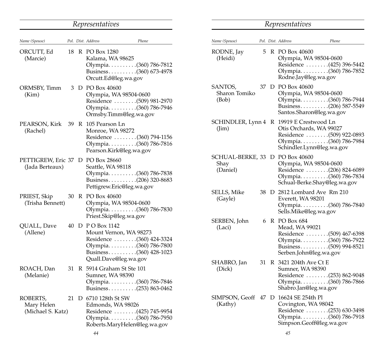#### *Representatives Name (Spouse) Pol. Dist. Address Phone* ORCUTT, Ed 18 R PO Box 1280 (Marcie) Kalama, WA 98625 Olympia . . . . . . . . . .(360) 786-7812 Business . . . . . . . . . .(360) 673-4978 Orcutt.Ed@leg.wa.gov ORMSBY, Timm 3 D PO Box 40600 (Kim) Olympia, WA 98504-0600 Residence . . . . . . . .(509) 981-2970 Olympia . . . . . . . . . .(360) 786-7946 Ormsby.Timm@leg.wa.gov PEARSON, Kirk 39 R 105 Pearson Ln (Rachel) Monroe, WA 98272 Residence . . . . . . . .(360) 794-1156 Olympia . . . . . . . . . .(360) 786-7816 Pearson.Kirk@leg.wa.gov PETTIGREW, Eric 37 D PO Box 28660 (Jada Berteaux) Seattle, WA 98118 Olympia . . . . . . . . . .(360) 786-7838 Business . . . . . . . . . .(206) 320-8683 Pettigrew.Eric@leg.wa.gov PRIEST, Skip 30 R PO Box 40600 (Trisha Bennett) Olympia, WA 98504-0600 Olympia . . . . . . . . . .(360) 786-7830 Priest.Skip@leg.wa.gov QUALL, Dave 40 D P O Box 1142 (Allene) Mount Vernon, WA 98273 Residence . . . . . . . .(360) 424-3324 Olympia . . . . . . . . . .(360) 786-7800 Business . . . . . . . . . .(360) 428-1023 Quall.Dave@leg.wa.gov ROACH, Dan 31 R 5914 Graham St Ste 101 (Melanie) Sumner, WA 98390 Olympia . . . . . . . . . .(360) 786-7846 Business . . . . . . . . . .(253) 863-0462 ROBERTS, 21 D 6710 128th St SW Mary Helen Edmonds, WA 98026 (Michael S. Katz) Residence . . . . . . . .(425) 745-9954 Olympia . . . . . . . . . .(360) 786-7950 Roberts.MaryHelen@leg.wa.gov

# *Representatives*

| Name (Spouse)                        |    |   | Pol. Dist. Address<br>Phone                                                                                                             |  |
|--------------------------------------|----|---|-----------------------------------------------------------------------------------------------------------------------------------------|--|
| RODNE, Jay<br>(Heidi)                | 5  |   | R PO Box 40600<br>Olympia, WA 98504-0600<br>Residence (425) 396-5442<br>Olympia(360) 786-7852<br>Rodne.Jay@leg.wa.gov                   |  |
| SANTOS,<br>Sharon Tomiko<br>(Bob)    | 37 |   | D PO Box 40600<br>Olympia, WA 98504-0600<br>Olympia. (360) 786-7944<br>Business(206) 587-5549<br>Santos.Sharon@leg.wa.gov               |  |
| SCHINDLER, Lynn 4<br>$(\lim)$        |    | R | 19919 E Crestwood Ln<br>Otis Orchards, WA 99027<br>Residence (509) 922-0893<br>Olympia(360) 786-7984<br>Schindler.Lynn@leg.wa.gov       |  |
| SCHUAL-BERKE, 33<br>Shay<br>(Daniel) |    |   | D PO Box 40600<br>Olympia, WA 98504-0600<br>Residence  (206) 824-6089<br>Olympia(360) 786-7834<br>Schual-Berke.Shay@leg.wa.gov          |  |
| SELLS, Mike<br>(Gayle)               | 38 |   | D 2812 Lombard Ave Rm 210<br>Everett, WA 98201<br>Olympia. (360) 786-7840<br>Sells.Mike@leg.wa.gov                                      |  |
| SERBEN, John<br>(Laci)               | 6. |   | R PO Box 684<br>Mead, WA 99021<br>Residence (509) 467-6398<br>Olympia(360) 786-7922<br>Business(509) 994-8521<br>Serben.John@leg.wa.gov |  |
| SHABRO, Jan<br>(Dick)                | 31 |   | R 3421 204th Ave Ct E<br>Sumner, WA 98390<br>Residence (253) 862-9048<br>Olympia. (360) 786-7866<br>Shabro.Jan@leg.wa.gov               |  |
| SIMPSON, Geoff<br>(Kathy)            | 47 |   | D 16624 SE 254th Pl<br>Covington, WA 98042<br>Residence (253) 630-3498<br>Olympia(360) 786-7918<br>Simpson.Geoff@leg.wa.gov             |  |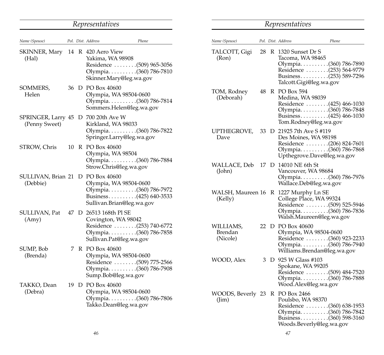#### *Representatives Name (Spouse) Pol. Dist. Address Phone Representatives Name (Spouse) Pol. Dist. Address Phone* TALCOTT, Gigi 28 R 1320 Sunset Dr S<br>(Ron) Tacoma, WA 9846 Tacoma, WA 98465 Olympia . . . . . . . . . .(360) 786-7890 Residence . . . . . . . .(253) 564-9779 Business . . . . . . . . . .(253) 589-7296 Talcott.Gigi@leg.wa.gov TOM, Rodney 48 R PO Box 594 (Deborah) Medina, WA 98039 Residence . . . . . . . .(425) 466-1030 Olympia . . . . . . . . . .(360) 786-7848 Business . . . . . . . . . . . . . . . 425) 466-1030 Tom.Rodney@leg.wa.gov UPTHEGROVE, 33 D 21925 7th Ave S #119<br>Dave Des Moines. WA 981 Des Moines, WA 98198 Residence . . . . . . . .(206) 824-7601 Olympia . . . . . . . . . .(360) 786-7868 Upthegrove.Dave@leg.wa.gov WALLACE, Deb 17 D 14010 NE 6th St (John) Vancouver, WA 98684 Olympia . . . . . . . . . .(360) 786-7976 Wallace.Deb@leg.wa.gov WALSH, Maureen 16 R 1227 Murphy Ln SE (Kelly) College Place, WA 99324 Residence . . . . . . . .(509) 525-5946 Olympia . . . . . . . . . .(360) 786-7836 Walsh.Maureen@leg.wa.gov WILLIAMS, 22 D PO Box 40600<br>Brendan Olympia, WA Brendan Olympia, WA 98504-0600 Residence . . . . . . . . . (360) 923-2233 Olympia . . . . . . . . . .(360) 786-7940 Williams.Brendan@leg.wa.gov WOOD, Alex 3 D 925 W Glass #103 Spokane, WA 99205 Residence . . . . . . . .(509) 484-7520 Olympia . . . . . . . . . .(360) 786-7888 Wood.Alex@leg.wa.gov WOODS, Beverly 23 R PO Box 2466 (Jim) Poulsbo, WA 98370 Residence . . . . . . . .(360) 638-1953 Olympia . . . . . . . . . .(360) 786-7842 Business . . . . . . . . . .(360) 598-3160 SKINNER, Mary 14 R 420 Aero View (Hal) Yakima, WA 98908 Residence . . . . . . . .(509) 965-3056 Olympia . . . . . . . . . .(360) 786-7810 Skinner.Mary@leg.wa.gov SOMMERS, 36 D PO Box 40600 Helen Olympia, WA 98504-0600 Olympia . . . . . . . . . .(360) 786-7814 Sommers.Helen@leg.wa.gov SPRINGER, Larry 45 D 700 20th Ave W (Penny Sweet) Kirkland, WA 98033 Olympia . . . . . . . . . .(360) 786-7822 Springer.Larry@leg.wa.gov STROW, Chris 10 R PO Box 40600 Olympia, WA 98504 Olympia . . . . . . . . . .(360) 786-7884 Strow.Chris@leg.wa.gov SULLIVAN, Brian 21 D PO Box 40600 (Debbie) Olympia, WA 98504-0600 Olympia . . . . . . . . . .(360) 786-7972 Business . . . . . . . . . .(425) 640-3533 Sullivan.Brian@leg.wa.gov SULLIVAN, Pat 47 D 26513 168th Pl SE (Amy) Covington, WA 98042 Residence . . . . . . . .(253) 740-6772 Olympia . . . . . . . . . .(360) 786-7858 Sullivan.Pat@leg.wa.gov SUMP, Bob 7 R PO Box 40600 (Brenda) Olympia, WA 98504-0600 Residence . . . . . . . .(509) 775-2566 Olympia . . . . . . . . . .(360) 786-7908 Sump.Bob@leg.wa.gov TAKKO, Dean 19 D PO Box 40600 (Debra) Olympia, WA 98504-0600 Olympia . . . . . . . . . .(360) 786-7806 Takko.Dean@leg.wa.gov

Woods.Beverly@leg.wa.gov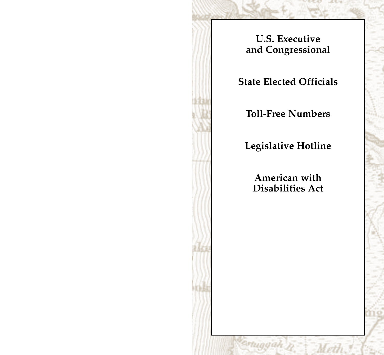**U.S. Executive and Congressional**

**State Elected Officials**

**Toll-Free Numbers**

**Legislative Hotline**

**American with Disabilities Act**

unaa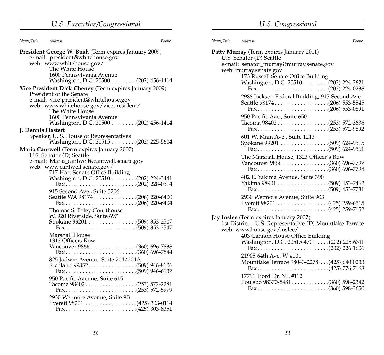# *U.S. Executive/Congressional*

| U.S. Congressional |  |
|--------------------|--|
|                    |  |

| Name/Title Address | Phone                                                                                                                                                                                                                                                            |
|--------------------|------------------------------------------------------------------------------------------------------------------------------------------------------------------------------------------------------------------------------------------------------------------|
|                    | President George W. Bush (Term expires January 2009)<br>e-mail: president@whitehouse.gov<br>web: www.whitehouse.gov/<br>The White House<br>1600 Pennsylvania Avenue<br>Washington, D.C. 20500 (202) 456-1414                                                     |
|                    | Vice President Dick Cheney (Term expires January 2009)<br>President of the Senate<br>e-mail: vice-president@whitehouse.gov<br>web: www.whitehouse.gov/vicepresident/<br>The White House<br>1600 Pennsylvania Avenue<br>Washington, D.C. 20500 (202) 456-1414     |
| J. Dennis Hastert  | Speaker, U.S. House of Representatives<br>Washington, D.C. 20515 (202) 225-5604                                                                                                                                                                                  |
|                    | Maria Cantwell (Term expires January 2007)<br>U.S. Senator (D) Seattle<br>e-mail: Maria_cantwell@cantwell.senate.gov<br>web: www.cantwell.senate.gov/<br>717 Hart Senate Office Building<br>Washington, D.C. 20510 (202) 224-3441<br>915 Second Ave., Suite 3206 |
|                    | Thomas S. Foley Courthouse<br>W. 920 Riverside, Suite 697<br>Marshall House<br>1313 Officers Row<br>Vancouver 98661 (360) 696-7838<br>825 Jadwin Avenue, Suite 204/204A<br>Richland 99352(509) 946-8106                                                          |
|                    | 950 Pacific Avenue, Suite 615<br>Tacoma 98402(253) 572-2281<br>2930 Wetmore Avenue, Suite 9B                                                                                                                                                                     |

| Name/Title Address | Phone                                                                |
|--------------------|----------------------------------------------------------------------|
|                    | Patty Murray (Term expires January 2011)<br>U.S. Senator (D) Seattle |
|                    | e-mail: senator_murray@murray.senate.gov                             |
|                    | web: murray.senate.gov                                               |
|                    | 173 Russell Senate Office Building                                   |
|                    | Fax(202) 224-0238                                                    |
|                    | 2988 Jackson Federal Building, 915 Second Ave.<br>Fax(206) 553-0891  |
|                    | 950 Pacific Ave., Suite 650                                          |
|                    | Tacoma 98402(253) 572-3636                                           |
|                    | 601 W. Main Ave., Suite 1213                                         |
|                    |                                                                      |
|                    | The Marshall House, 1323 Officer's Row                               |
|                    | Vancouver 98661 (360) 696-7797                                       |
|                    | Fax(360) 696-7798                                                    |
|                    | 402 E. Yakima Avenue, Suite 390                                      |
|                    |                                                                      |
|                    |                                                                      |
|                    | 2930 Wetmore Avenue, Suite 903                                       |
|                    |                                                                      |
|                    | Fax(425) 259-7152                                                    |
|                    | Jay Inslee (Term expires January 2007)                               |
|                    | 1st District – U.S. Representative (D) Mountlake Terrace             |
|                    | web: www.house.gov/inslee/                                           |
|                    | 403 Cannon House Office Building                                     |
|                    | Washington, D.C. 20515-4701  (202) 225 6311                          |
|                    | Fax(202) 226 1606                                                    |
|                    | 21905 64th Ave. W #101                                               |
|                    | Mountlake Terrace 98043-2278 (425) 640 0233                          |
|                    |                                                                      |
|                    | 17791 Fjord Dr. NE #112                                              |
|                    | Poulsbo 98370-8481(360) 598-2342                                     |
|                    | Fax(360) 598-3650                                                    |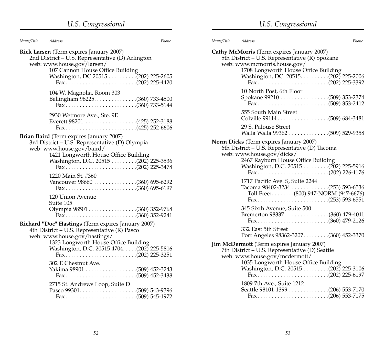|  | U.S. Congressional |
|--|--------------------|
|  |                    |

| Name/Title | Address                                                                                                                                                                                                                                        | Phone |
|------------|------------------------------------------------------------------------------------------------------------------------------------------------------------------------------------------------------------------------------------------------|-------|
|            | <b>Rick Larsen</b> (Term expires January 2007)<br>2nd District - U.S. Representative (D) Arlington<br>web: www.house.gov/larsen/<br>107 Cannon House Office Building<br>Fax(202) 225-4420                                                      |       |
|            | 104 W. Magnolia, Room 303<br>Fax(360) 733-5144                                                                                                                                                                                                 |       |
|            | 2930 Wetmore Ave., Ste. 9E<br>Fax(425) 252-6606                                                                                                                                                                                                |       |
|            | Brian Baird (Term expires January 2007)<br>3rd District - U.S. Representative (D) Olympia<br>web: www.house.gov/baird/<br>1421 Longworth House Office Building<br>Washington, D.C. 20515 (202) 225-3536<br>Fax(202) 225-3478                   |       |
|            | 1220 Main St. #360<br>Vancouver 98660 (360) 695-6292<br>Fax(360) 695-6197                                                                                                                                                                      |       |
|            | 120 Union Avenue<br>Suite 105                                                                                                                                                                                                                  |       |
|            | Richard "Doc" Hastings (Term expires January 2007)<br>4th District - U.S. Representative (R) Pasco<br>web: www.house.gov/hastings/<br>1323 Longworth House Office Building<br>Washington, D.C. 20515 4704. (202) 225-5816<br>Fax(202) 225-3251 |       |
|            | 302 E Chestnut Ave.<br>2715 St. Andrews Loop, Suite D                                                                                                                                                                                          |       |

| Name/Title | Address                                                                                                                                                                                                       | Phone |
|------------|---------------------------------------------------------------------------------------------------------------------------------------------------------------------------------------------------------------|-------|
|            | Cathy McMorris (Term expires January 2007)<br>5th District – U.S. Representative (R) Spokane<br>web: www.mcmorris.house.gov/<br>1708 Longworth House Office Building<br>Washington, DC 20515(202) 225-2006    |       |
|            | 10 North Post, 6th Floor                                                                                                                                                                                      |       |
|            | 555 South Main Street                                                                                                                                                                                         |       |
|            | 29 S. Palouse Street<br>Walla Walla 99362 509) 529-9358                                                                                                                                                       |       |
|            | Norm Dicks (Term expires January 2007)<br>6th District – U.S. Representative (D) Tacoma<br>web: www.house.gov/dicks/<br>2467 Rayburn House Office Building<br>Washington, D.C. 20515 (202) 225-5916           |       |
|            | 1717 Pacific Ave. S, Suite 2244<br>Tacoma 98402-3234 (253) 593-6536<br>Toll Free: (800) 947-NORM (947-6676)<br>Fax(253) 593-6551                                                                              |       |
|            | 345 Sixth Avenue, Suite 500<br>Bremerton 98337 (360) 479-4011<br>Fax(360) 479-2126                                                                                                                            |       |
|            | 332 East 5th Street<br>Port Angeles 98362-3207(360) 452-3370                                                                                                                                                  |       |
|            | Jim McDermott (Term expires January 2007)<br>7th District - U.S. Representative (D) Seattle<br>web: www.house.gov/mcdermott/<br>1035 Longworth House Office Building<br>Washington, D.C. 20515 (202) 225-3106 |       |
|            | 1809 7th Ave., Suite 1212<br>Seattle 98101-1399 (206) 553-7170<br>Fax(206) 553-7175                                                                                                                           |       |

*U.S. Congressional*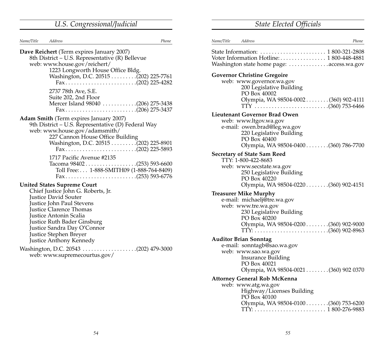# *U.S. Congressional/Judicial State Elected Officials*

| Name/Title Address |                                                                                                                                                                                                                                                                                    | Phone |
|--------------------|------------------------------------------------------------------------------------------------------------------------------------------------------------------------------------------------------------------------------------------------------------------------------------|-------|
|                    | Dave Reichert (Term expires January 2007)<br>8th District – U.S. Representative (R) Bellevue<br>web: www.house.gov/reichert/<br>1223 Longworth House Office Bldg.<br>Washington, D.C. 20515 (202) 225-7761<br>Fax(202) 225-4282                                                    |       |
|                    | 2737 78th Ave, S.E.<br>Suite 202, 2nd Floor<br>Mercer Island 98040 (206) 275-3438<br>Fax(206) 275-3437                                                                                                                                                                             |       |
|                    | Adam Smith (Term expires January 2007)<br>9th District – U.S. Representative (D) Federal Way<br>web: www.house.gov/adamsmith/<br>227 Cannon House Office Building<br>Washington, D.C. 20515 (202) 225-8901<br>Fax(202) 225-5893                                                    |       |
|                    | 1717 Pacific Avenue #2135<br>Tacoma 98402(253) 593-6600<br>Toll Free: 1-888-SMITH09 (1-888-764-8409)<br>Fax(253) 593-6776                                                                                                                                                          |       |
|                    | <b>United States Supreme Court</b><br>Chief Justice John G. Roberts, Jr.<br>Justice David Souter<br>Justice John Paul Stevens<br><b>Justice Clarence Thomas</b><br>Justice Antonin Scalia<br>Justice Ruth Bader Ginsburg<br>Justice Sandra Day O'Connor<br>Iustice Stephen Brever- |       |

Justice Stephen Breyer Justice Anthony Kennedy

Washington, D.C. 20543 . . . . . . . . . . . . . . . . . . .(202) 479-3000 web: www.supremecourtus.gov/

| Name/Title | Address<br>Phone                                                                                                                                                           |
|------------|----------------------------------------------------------------------------------------------------------------------------------------------------------------------------|
|            | Voter Information Hotline: 1800-448-4881<br>Washington state home page: access.wa.gov                                                                                      |
|            | <b>Governor Christine Gregoire</b>                                                                                                                                         |
|            | web: www.governor.wa.gov<br>200 Legislative Building<br>PO Box 40002<br>Olympia, WA 98504-0002(360) 902-4111                                                               |
|            |                                                                                                                                                                            |
|            | Lieutenant Governor Brad Owen<br>web: www.ltgov.wa.gov<br>e-mail: owen.brad@leg.wa.gov<br>220 Legislative Building<br>PO Box 40400<br>Olympia, WA 98504-0400(360) 786-7700 |
|            | <b>Secretary of State Sam Reed</b>                                                                                                                                         |
|            | TTY: 1-800-422-8683                                                                                                                                                        |
|            | web: www.secstate.wa.gov<br>250 Legislative Building<br>PO Box 40220<br>Olympia, WA 98504-0220 (360) 902-4151                                                              |
|            | <b>Treasurer Mike Murphy</b>                                                                                                                                               |
|            | e-mail: michaelj@tre.wa.gov                                                                                                                                                |
|            | web: www.tre.wa.gov<br>230 Legislative Building<br>PO Box 40200                                                                                                            |
|            | Olympia, WA 98504-0200(360) 902-9000                                                                                                                                       |
|            | <b>Auditor Brian Sonntag</b>                                                                                                                                               |
|            | e-mail: sonntagb@sao.wa.gov<br>web: www.sao.wa.gov<br>Insurance Building<br>PO Box 40021                                                                                   |
|            | Olympia, WA 98504-0021 (360) 902 0370                                                                                                                                      |
|            | <b>Attorney General Rob McKenna</b>                                                                                                                                        |
|            | web: www.atg.wa.gov<br>Highway/Licenses Building<br>PO Box 40100                                                                                                           |
|            | Olympia, WA 98504-0100(360) 753-6200                                                                                                                                       |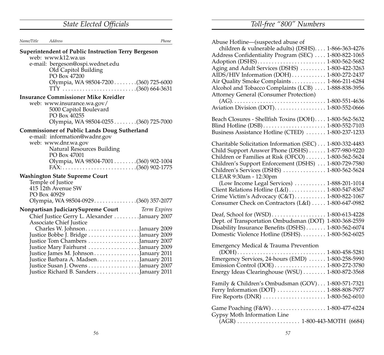|            | <b>State Elected Officials</b> |       |
|------------|--------------------------------|-------|
| Name/Title | Address                        | Phone |

| Abuse Hotline—(suspected abuse of                                              |
|--------------------------------------------------------------------------------|
| children & vulnerable adults) (DSHS) 1-866-363-4276                            |
| Address Confidentiality Program (SEC)  1-800-822-1065                          |
|                                                                                |
| Aging and Adult Services (DSHS)  1-800-422-3263                                |
| AIDS/HIV Information (DOH) 1-800-272-2437                                      |
| Air Quality Smoke Complaints 1-866-211-6284                                    |
| Alcohol and Tobacco Complaints (LCB)  1-888-838-3956                           |
| Attorney General (Consumer Protection)                                         |
|                                                                                |
|                                                                                |
|                                                                                |
| Beach Closures - Shellfish Toxins (DOH) 1-800-562-5632                         |
|                                                                                |
| Business Assistance Hotline (CTED)  1-800-237-1233                             |
| $CL$ = $1.1.1.0.11$ = $1.1.1.1.1$ = $1.6.1.1.1$ = $(CD)$ = $1.000, 222, 1.102$ |

| Charitable Solicitation Information (SEC) 1-800-332-4483 |
|----------------------------------------------------------|
| Child Support Answer Phone (DSHS)  1-877-980-9220        |
| Children or Families at Risk (OFCO)  1-800-562-5624      |
| Children's Support Enforcement (DSHS)  1-800-729-7580    |
| Children's Services (DSHS)  1-800-562-5624               |
| CLEAR 9:30am - 12:30pm                                   |
| (Low Income Legal Services)  1-888-201-1014              |
| Client Relations Hotline (L&I) 1-800-547-8367            |
| Crime Victim's Advocacy (C&T) 1-800-822-1067             |
| Consumer Check on Contractors (L&I)  1-800-647-0982      |

| Dept. of Transportation Ombudsman (DOT) 1-800-368-2559 |  |
|--------------------------------------------------------|--|
| Disability Insurance Benefits (DSHS) 1-800-562-6074    |  |
| Domestic Violence Hotline (DSHS) 1-800-562-6025        |  |

Emergency Medical & Trauma Prevention

| Emergency Services, 24-hours (EMD)  1-800-258-5990<br>Energy Ideas Clearinghouse (WSU)  1-800-872-3568<br>Family & Children's Ombudsman (GOV) 1-800-571-7321<br>Game Poaching (F&W) 1-800-477-6224 |
|----------------------------------------------------------------------------------------------------------------------------------------------------------------------------------------------------|

**Superintendent of Public Instruction Terry Bergeson**  web: www.k12.wa.us e-mail: bergeson@ospi.wednet.edu Old Capitol Building PO Box 47200 Olympia, WA 98504-7200 . . . . . . . .(360) 725-6000 TTY . . . . . . . . . . . . . . . . . . . . . . . . . .(360) 664-3631 **Insurance Commissioner Mike Kreidler**

web: www.insurance.wa.gov/ 5000 Capitol Boulevard PO Box 40255 Olympia, WA 98504-0255 . . . . . . . .(360) 725-7000

#### **Commissioner of Public Lands Doug Sutherland**

| e-mail: information@wadnr.gov         |  |
|---------------------------------------|--|
| web: www.dnr.wa.gov                   |  |
| Natural Resources Building            |  |
| PO Box 47001                          |  |
| Olympia, WA 98504-7001 (360) 902-1004 |  |
|                                       |  |
|                                       |  |

#### **Washington State Supreme Court**

| Temple of Justice<br>415 12th Avenue SW<br>PO Box 40929                          |  |
|----------------------------------------------------------------------------------|--|
| Olympia, WA 98504-0929(360) 357-2077                                             |  |
| <b>Nonpartisan JudiciarySupreme Court</b> Term Expires                           |  |
| Chief Justice Gerry L. Alexander  January 2007<br><b>Associate Chief Justice</b> |  |
|                                                                                  |  |
| Justice Bobbe J. Bridge January 2009                                             |  |
| Justice Tom Chambers January 2007                                                |  |
| Justice Mary Fairhurst January 2009                                              |  |
| Justice James M. Johnson January 2011                                            |  |
| Justice Barbara A. MadsenJanuary 2011                                            |  |
| Justice Susan J. Owens January 2007                                              |  |
| Justice Richard B. Sanders January 2011                                          |  |

*Toll-free "800" Numbers*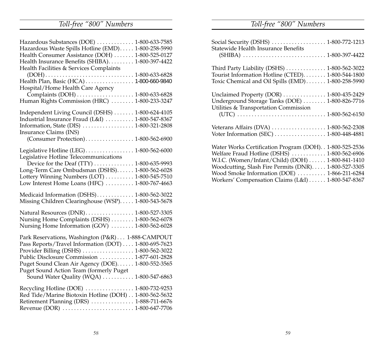# *Toll-free "800" Numbers*

| Hazardous Substances (DOE) 1-800-633-7585                                                                  |
|------------------------------------------------------------------------------------------------------------|
| Hazardous Waste Spills Hotline (EMD) 1-800-258-5990                                                        |
| Health Consumer Assistance (DOH)  1-800-525-0127                                                           |
| Health Insurance Benefits (SHIBA) 1-800-397-4422                                                           |
| Health Facilities & Services Complaints                                                                    |
|                                                                                                            |
| Health Plan, Basic (HCA) 1-800-660-9840                                                                    |
| Hospital/Home Health Care Agency                                                                           |
|                                                                                                            |
| Complaints (DOH) 1-800-633-6828<br>Human Rights Commission (HRC) 1-800-233-3247                            |
|                                                                                                            |
| Independent Living Council (DSHS)  1-800-624-4105                                                          |
| Industrial Insurance Fraud (L&I)  1-800-547-8367                                                           |
|                                                                                                            |
| Insurance Claims (INS)                                                                                     |
|                                                                                                            |
|                                                                                                            |
| Legislative Hotline (LEG) 1-800-562-6000                                                                   |
| Legislative Hotline Telecommunications                                                                     |
| Device for the Deaf (TTY)  1-800-635-9993                                                                  |
| Long-Term Care Ombudsman (DSHS) 1-800-562-6028                                                             |
| Lottery Winning Numbers (LOT)  1-800-545-7510                                                              |
| Low Interest Home Loans (HFC)  1-800-767-4663                                                              |
| Medicaid Information (DSHS) 1-800-562-3022                                                                 |
| Missing Children Clearinghouse (WSP) 1-800-543-5678                                                        |
|                                                                                                            |
| Natural Resources (DNR) 1-800-527-3305                                                                     |
| Nursing Home Complaints (DSHS)  1-800-562-6078                                                             |
| Nursing Home Information (GOV)  1-800-562-6028                                                             |
|                                                                                                            |
| Park Reservations, Washington (P&R) 1-888-CAMPOUT<br>Pass Reports/Travel Information (DOT)  1-800-695-7623 |
| Provider Billing (DSHS) 1-800-562-3022                                                                     |
| Public Disclosure Commission  1-877-601-2828                                                               |
|                                                                                                            |
| Puget Sound Clean Air Agency (DOE) 1-800-552-3565                                                          |
| Puget Sound Action Team (formerly Puget<br>Sound Water Quality (WQA)  1-800-547-6863                       |
|                                                                                                            |
| Recycling Hotline (DOE)  1-800-732-9253                                                                    |
| Red Tide/Marine Biotoxin Hotline (DOH) 1-800-562-5632                                                      |
| Retirement Planning (DRS)  1-888-711-6676                                                                  |
|                                                                                                            |
|                                                                                                            |

# *Toll-free "800" Numbers*

| Social Security (DSHS)  1-800-772-1213<br>Statewide Health Insurance Benefits                                                                                                                                                                                          |  |
|------------------------------------------------------------------------------------------------------------------------------------------------------------------------------------------------------------------------------------------------------------------------|--|
| Third Party Liability (DSHS)  1-800-562-3022<br>Tourist Information Hotline (CTED) 1-800-544-1800<br>Toxic Chemical and Oil Spills (EMD) 1-800-258-5990                                                                                                                |  |
| Unclaimed Property (DOR)  1-800-435-2429<br>Underground Storage Tanks (DOE)  1-800-826-7716<br>Utilities & Transportation Commission                                                                                                                                   |  |
| Voter Information (SEC)  1-800-448-4881                                                                                                                                                                                                                                |  |
| Water Works Certification Program (DOH). . 1-800-525-2536<br>Welfare Fraud Hotline (DSHS)  1-800-562-6906<br>W.I.C. (Women/Infant/Child) (DOH)  1-800-841-1410<br>Woodcutting, Slash Fire Permits (DNR) 1-800-527-3305<br>Wood Smoke Information (DOE)  1-866-211-6284 |  |
| Workers' Compensation Claims (L&I) 1-800-547-8367                                                                                                                                                                                                                      |  |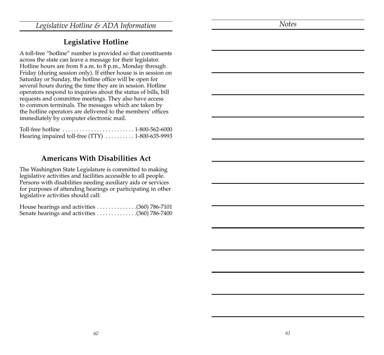*Legislative Hotline & ADA Information*

*Notes*

### **Legislative Hotline**

A toll-free "hotline" number is provided so that constituents across the state can leave a message for their legislator. Hotline hours are from 8 a.m. to 8 p.m., Monday through Friday (during session only). If either house is in session on Saturday or Sunday, the hotline office will be open for several hours during the time they are in session. Hotline operators respond to inquiries about the status of bills, bill requests and committee meetings. They also have access to common terminals. The messages which are taken by the hotline operators are delivered to the members' offices immediately by computer electronic mail.

| Hearing impaired toll-free (TTY)  1-800-635-9993 |  |
|--------------------------------------------------|--|

### **Americans With Disabilities Act**

The Washington State Legislature is committed to making legislative activities and facilities accessible to all people. Persons with disabilities needing auxiliary aids or services for purposes of attending hearings or participating in other legislative activities should call:

| House hearings and activities (360) 786-7101                                |  |
|-----------------------------------------------------------------------------|--|
| Senate hearings and activities $\ldots \ldots \ldots \ldots (360)$ 786-7400 |  |